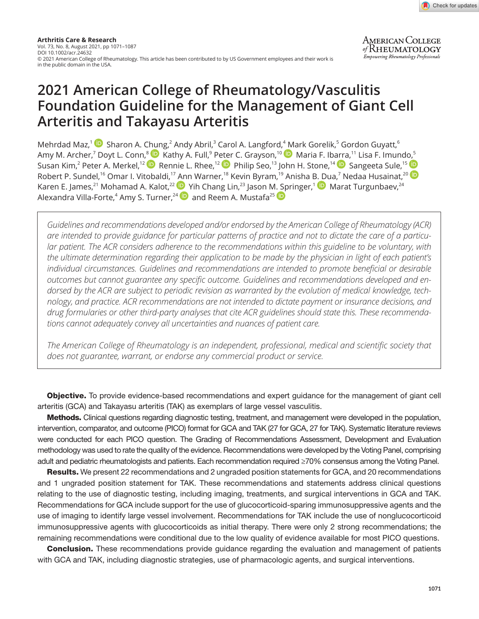

# **2021 American College of Rheumatology/Vasculitis Foundation Guideline for the Management of Giant Cell Arteritis and Takayasu Arteritis**

MehrdadMaz,<sup>1</sup>  $\blacksquare$  Sharon A. [Chun](https://orcid.org/0000-0003-3303-3944)g,<sup>2</sup> Andy Abril,<sup>3</sup> Carol A. Langford,<sup>4</sup> [M](https://orcid.org/0000-0002-8269-9438)ark Gorelik,<sup>5</sup> Gordon Guyatt,<sup>6</sup> Amy M. Archer[,](https://orcid.org/0000-0001-9284-7345)<sup>7</sup> Doyt L. Conn,<sup>8 (</sup>D) Kathy A. Full,<sup>9</sup> P[eter](https://orcid.org/0000-0002-4907-0304) C. Grayson,<sup>10</sup> (D) Maria F. Ib[arra](https://orcid.org/0000-0001-6588-9435),<sup>11</sup> Lisa F. Imund[o,](https://orcid.org/0000-0002-5876-376X)<sup>5</sup> Susan Kim,<sup>2</sup> Peter A. Merkel,<sup>12</sup> D Rennie L. Rhee,<sup>12</sup> D Philip Seo,<sup>13</sup> John H. Stone,<sup>14</sup> D Sangeeta Sule,<sup>15</sup> Robert P. Sundel,<sup>16</sup> Omar I. Vitobaldi,<sup>17</sup> [An](https://orcid.org/0000-0002-6581-4561)n Warner,<sup>18</sup> Kevin Byram,<sup>19</sup> Anisha [B. Du](https://orcid.org/0000-0002-3903-6049)a,<sup>7</sup> Nedaa Husainat,<sup>20</sup> Karen E. James,<sup>21</sup> Mohamad A. Kalot,<sup>22</sup> D Yih Chang Lin,<sup>23</sup> Jason [M. Sp](https://orcid.org/0000-0002-2091-0875)ringer,<sup>1</sup> D Marat Turgunbaev,<sup>24</sup> AlexandraVilla-Forte, $^{\textrm{4}}$  Amy S. Turner, $^{24}$   $\textcolor{blue}\bullet$  and Reem A. Mustafa $^{25}$ 

*Guidelines and recommendations developed and/or endorsed by the American College of Rheumatology (ACR) are intended to provide guidance for particular patterns of practice and not to dictate the care of a particular patient. The ACR considers adherence to the recommendations within this guideline to be voluntary, with the ultimate determination regarding their application to be made by the physician in light of each patient's individual circumstances. Guidelines and recommendations are intended to promote beneficial or desirable outcomes but cannot guarantee any specific outcome. Guidelines and recommendations developed and endorsed by the ACR are subject to periodic revision as warranted by the evolution of medical knowledge, technology, and practice. ACR recommendations are not intended to dictate payment or insurance decisions, and drug formularies or other third-party analyses that cite ACR guidelines should state this. These recommendations cannot adequately convey all uncertainties and nuances of patient care.*

*The American College of Rheumatology is an independent, professional, medical and scientific society that does not guarantee, warrant, or endorse any commercial product or service.*

**Objective.** To provide evidence-based recommendations and expert guidance for the management of giant cell arteritis (GCA) and Takayasu arteritis (TAK) as exemplars of large vessel vasculitis.

Methods. Clinical questions regarding diagnostic testing, treatment, and management were developed in the population, intervention, comparator, and outcome (PICO) format for GCA and TAK (27 for GCA, 27 for TAK). Systematic literature reviews were conducted for each PICO question. The Grading of Recommendations Assessment, Development and Evaluation methodology was used to rate the quality of the evidence. Recommendations were developed by the Voting Panel, comprising adult and pediatric rheumatologists and patients. Each recommendation required ≥70% consensus among the Voting Panel.

Results. We present 22 recommendations and 2 ungraded position statements for GCA, and 20 recommendations and 1 ungraded position statement for TAK. These recommendations and statements address clinical questions relating to the use of diagnostic testing, including imaging, treatments, and surgical interventions in GCA and TAK. Recommendations for GCA include support for the use of glucocorticoid-sparing immunosuppressive agents and the use of imaging to identify large vessel involvement. Recommendations for TAK include the use of nonglucocorticoid immunosuppressive agents with glucocorticoids as initial therapy. There were only 2 strong recommendations; the remaining recommendations were conditional due to the low quality of evidence available for most PICO questions.

**Conclusion.** These recommendations provide guidance regarding the evaluation and management of patients with GCA and TAK, including diagnostic strategies, use of pharmacologic agents, and surgical interventions.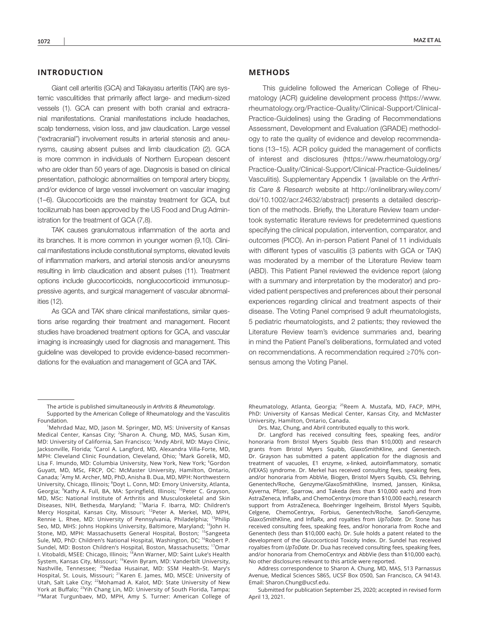## **INTRODUCTION**

Giant cell arteritis (GCA) and Takayasu arteritis (TAK) are systemic vasculitides that primarily affect large- and medium-sized vessels (1). GCA can present with both cranial and extracranial manifestations. Cranial manifestations include headaches, scalp tenderness, vision loss, and jaw claudication. Large vessel ("extracranial") involvement results in arterial stenosis and aneurysms, causing absent pulses and limb claudication (2). GCA is more common in individuals of Northern European descent who are older than 50 years of age. Diagnosis is based on clinical presentation, pathologic abnormalities on temporal artery biopsy, and/or evidence of large vessel involvement on vascular imaging (1–6). Glucocorticoids are the mainstay treatment for GCA, but tocilizumab has been approved by the US Food and Drug Administration for the treatment of GCA (7,8).

TAK causes granulomatous inflammation of the aorta and its branches. It is more common in younger women (9,10). Clinical manifestations include constitutional symptoms, elevated levels of inflammation markers, and arterial stenosis and/or aneurysms resulting in limb claudication and absent pulses (11). Treatment options include glucocorticoids, nonglucocorticoid immunosuppressive agents, and surgical management of vascular abnormalities (12).

As GCA and TAK share clinical manifestations, similar questions arise regarding their treatment and management. Recent studies have broadened treatment options for GCA, and vascular imaging is increasingly used for diagnosis and management. This guideline was developed to provide evidence-based recommendations for the evaluation and management of GCA and TAK.

## **METHODS**

This guideline followed the American College of Rheumatology (ACR) guideline development process ([https://www.](https://www.rheumatology.org/Practice-Quality/Clinical-Support/Clinical-Practice-Guidelines) [rheumatology.org/Practice-Quality/Clinical-Support/Clinical-](https://www.rheumatology.org/Practice-Quality/Clinical-Support/Clinical-Practice-Guidelines)[Practice-Guidelines\)](https://www.rheumatology.org/Practice-Quality/Clinical-Support/Clinical-Practice-Guidelines) using the Grading of Recommendations Assessment, Development and Evaluation (GRADE) methodology to rate the quality of evidence and develop recommendations (13–15). ACR policy guided the management of conflicts of interest and disclosures ([https://www.rheumatology.org/](https://www.rheumatology.org/Practice-Quality/Clinical-Support/Clinical-Practice-Guidelines/Vasculitis) [Practice-Quality/Clinical-Support/Clinical-Practice-Guidelines/](https://www.rheumatology.org/Practice-Quality/Clinical-Support/Clinical-Practice-Guidelines/Vasculitis) [Vasculitis](https://www.rheumatology.org/Practice-Quality/Clinical-Support/Clinical-Practice-Guidelines/Vasculitis)). Supplementary Appendix 1 (available on the *Arthritis Care & Research* website at [http://onlinelibrary.wiley.com/](http://onlinelibrary.wiley.com/doi/10.1002/acr.24632/abstract) [doi/10.1002/acr.24632/abstract\)](http://onlinelibrary.wiley.com/doi/10.1002/acr.24632/abstract) presents a detailed description of the methods. Briefly, the Literature Review team undertook systematic literature reviews for predetermined questions specifying the clinical population, intervention, comparator, and outcomes (PICO). An in-person Patient Panel of 11 individuals with different types of vasculitis (3 patients with GCA or TAK) was moderated by a member of the Literature Review team (ABD). This Patient Panel reviewed the evidence report (along with a summary and interpretation by the moderator) and provided patient perspectives and preferences about their personal experiences regarding clinical and treatment aspects of their disease. The Voting Panel comprised 9 adult rheumatologists, 5 pediatric rheumatologists, and 2 patients; they reviewed the Literature Review team's evidence summaries and, bearing in mind the Patient Panel's deliberations, formulated and voted on recommendations. A recommendation required ≥70% consensus among the Voting Panel.

Rheumatology, Atlanta, Georgia; <sup>25</sup>Reem A. Mustafa, MD, FACP, MPH, PhD: University of Kansas Medical Center, Kansas City, and McMaster University, Hamilton, Ontario, Canada.

Drs. Maz, Chung, and Abril contributed equally to this work.

Dr. Langford has received consulting fees, speaking fees, and/or honoraria from Bristol Myers Squibb (less than \$10,000) and research grants from Bristol Myers Squibb, GlaxoSmithKline, and Genentech. Dr. Grayson has submitted a patent application for the diagnosis and treatment of vacuoles, E1 enzyme, x-linked, autoinflammatory, somatic (VEXAS) syndrome. Dr. Merkel has received consulting fees, speaking fees, and/or honoraria from AbbVie, Biogen, Bristol Myers Squibb, CSL Behring, Genentech/Roche, Genzyme/GlaxoSmithKline, Insmed, Janssen, Kiniksa, Kyverna, Pfizer, Sparrow, and Takeda (less than \$10,000 each) and from AstraZeneca, InflaRx, and ChemoCentryx (more than \$10,000 each), research support from AstraZeneca, Boehringer Ingelheim, Bristol Myers Squibb, Celgene, ChemoCentryx, Forbius, Genentech/Roche, Sanofi-Genzyme, GlaxoSmithKline, and InflaRx, and royalties from *UpToDate*. Dr. Stone has received consulting fees, speaking fees, and/or honoraria from Roche and Genentech (less than \$10,000 each). Dr. Sule holds a patent related to the development of the Glucocorticoid Toxicity Index. Dr. Sundel has received royalties from *UpToDate*. Dr. Dua has received consulting fees, speaking fees, and/or honoraria from ChemoCentryx and AbbVie (less than \$10,000 each). No other disclosures relevant to this article were reported.

Address correspondence to Sharon A. Chung, MD, MAS, 513 Parnassus Avenue, Medical Sciences S865, UCSF Box 0500, San Francisco, CA 94143. Email: [Sharon.Chung@ucsf.edu.](mailto:Sharon.Chung@ucsf.edu)

Submitted for publication September 25, 2020; accepted in revised form April 13, 2021.

The article is published simultaneously in *Arthritis & Rheumatology*. Supported by the American College of Rheumatology and the Vasculitis Foundation.

<sup>&</sup>lt;sup>1</sup>Mehrdad Maz, MD, Jason M. Springer, MD, MS: University of Kansas Medical Center, Kansas City; <sup>2</sup>Sharon A. Chung, MD, MAS, Susan Kim, MD: University of California, San Francisco; <sup>3</sup>Andy Abril, MD: Mayo Clinic, Jacksonville, Florida; <sup>4</sup>Carol A. Langford, MD, Alexandra Villa-Forte, MD, MPH: Cleveland Clinic Foundation, Cleveland, Ohio; <sup>5</sup>Mark Gorelik, MD, Lisa F. Imundo, MD: Columbia University, New York, New York; <sup>6</sup>Gordon Guyatt, MD, MSc, FRCP, OC: McMaster University, Hamilton, Ontario, Canada; <sup>7</sup>Amy M. Archer, MD, PhD, Anisha B. Dua, MD, MPH: Northwestern University, Chicago, Illinois; <sup>8</sup>Doyt L. Conn, MD: Emory University, Atlanta, Georgia; <sup>9</sup>Kathy A. Full, BA, MA: Springfield, Illinois; <sup>10</sup>Peter C. Grayson, MD, MSc: National Institute of Arthritis and Musculoskeletal and Skin Diseases, NIH, Bethesda, Maryland; <sup>11</sup>Maria F. Ibarra, MD: Children's Mercy Hospital, Kansas City, Missouri; <sup>12</sup>Peter A. Merkel, MD, MPH, Rennie L. Rhee, MD: University of Pennsylvania, Philadelphia; 13Philip Seo, MD, MHS: Johns Hopkins University, Baltimore, Maryland; <sup>14</sup>John H. Stone, MD, MPH: Massachusetts General Hospital, Boston; <sup>15</sup>Sangeeta Sule, MD, PhD: Children's National Hospital, Washington, DC; <sup>16</sup>Robert P. Sundel, MD: Boston Children's Hospital, Boston, Massachusetts; 17Omar I. Vitobaldi, MSEE: Chicago, Illinois; <sup>18</sup>Ann Warner, MD: Saint Luke's Health System, Kansas City, Missouri; <sup>19</sup>Kevin Byram, MD: Vanderbilt University, Nashville, Tennessee; <sup>20</sup>Nedaa Husainat, MD: SSM Health–St. Mary's Hospital, St. Louis, Missouri; <sup>21</sup>Karen E. James, MD, MSCE: University of Utah, Salt Lake City; <sup>22</sup>Mohamad A. Kalot, MD: State University of New York at Buffalo; <sup>23</sup>Yih Chang Lin, MD: University of South Florida, Tampa; <sup>24</sup>Marat Turgunbaev, MD, MPH, Amy S. Turner: American College of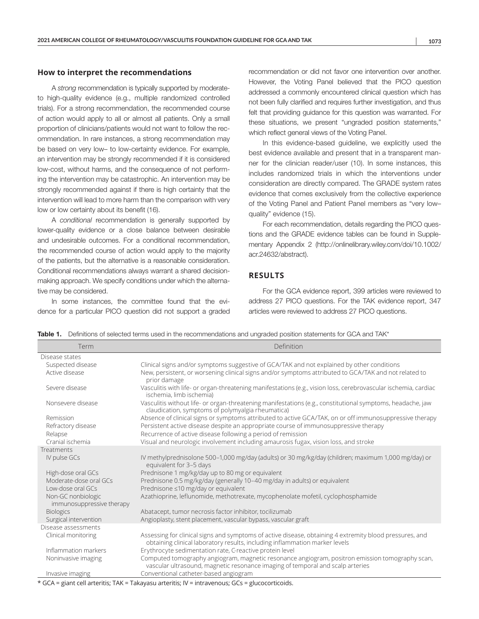## **How to interpret the recommendations**

A *strong* recommendation is typically supported by moderateto high-quality evidence (e.g., multiple randomized controlled trials). For a strong recommendation, the recommended course of action would apply to all or almost all patients. Only a small proportion of clinicians/patients would not want to follow the recommendation. In rare instances, a strong recommendation may be based on very low– to low-certainty evidence. For example, an intervention may be strongly recommended if it is considered low-cost, without harms, and the consequence of not performing the intervention may be catastrophic. An intervention may be strongly recommended against if there is high certainty that the intervention will lead to more harm than the comparison with very low or low certainty about its benefit (16).

A *conditional* recommendation is generally supported by lower-quality evidence or a close balance between desirable and undesirable outcomes. For a conditional recommendation, the recommended course of action would apply to the majority of the patients, but the alternative is a reasonable consideration. Conditional recommendations always warrant a shared decisionmaking approach. We specify conditions under which the alternative may be considered.

In some instances, the committee found that the evidence for a particular PICO question did not support a graded

recommendation or did not favor one intervention over another. However, the Voting Panel believed that the PICO question addressed a commonly encountered clinical question which has not been fully clarified and requires further investigation, and thus felt that providing guidance for this question was warranted. For these situations, we present "ungraded position statements," which reflect general views of the Voting Panel.

In this evidence-based guideline, we explicitly used the best evidence available and present that in a transparent manner for the clinician reader/user (10). In some instances, this includes randomized trials in which the interventions under consideration are directly compared. The GRADE system rates evidence that comes exclusively from the collective experience of the Voting Panel and Patient Panel members as "very low– quality" evidence (15).

For each recommendation, details regarding the PICO questions and the GRADE evidence tables can be found in Supplementary Appendix 2 ([http://onlinelibrary.wiley.com/doi/10.1002/](http://onlinelibrary.wiley.com/doi/10.1002/acr.24632/abstract) [acr.24632/abstract\)](http://onlinelibrary.wiley.com/doi/10.1002/acr.24632/abstract).

# **RESULTS**

For the GCA evidence report, 399 articles were reviewed to address 27 PICO questions. For the TAK evidence report, 347 articles were reviewed to address 27 PICO questions.

|  |  |  |  | Table 1. Definitions of selected terms used in the recommendations and ungraded position statements for GCA and TAK* |  |  |  |  |  |  |
|--|--|--|--|----------------------------------------------------------------------------------------------------------------------|--|--|--|--|--|--|
|--|--|--|--|----------------------------------------------------------------------------------------------------------------------|--|--|--|--|--|--|

| Term                                            | Definition                                                                                                                                                                             |
|-------------------------------------------------|----------------------------------------------------------------------------------------------------------------------------------------------------------------------------------------|
| Disease states                                  |                                                                                                                                                                                        |
| Suspected disease                               | Clinical signs and/or symptoms suggestive of GCA/TAK and not explained by other conditions                                                                                             |
| Active disease                                  | New, persistent, or worsening clinical signs and/or symptoms attributed to GCA/TAK and not related to<br>prior damage                                                                  |
| Severe disease                                  | Vasculitis with life- or organ-threatening manifestations (e.g., vision loss, cerebrovascular ischemia, cardiac<br>ischemia, limb ischemia)                                            |
| Nonsevere disease                               | Vasculitis without life- or organ-threatening manifestations (e.g., constitutional symptoms, headache, jaw<br>claudication, symptoms of polymyalgia rheumatica)                        |
| Remission                                       | Absence of clinical signs or symptoms attributed to active GCA/TAK, on or off immunosuppressive therapy                                                                                |
| Refractory disease                              | Persistent active disease despite an appropriate course of immunosuppressive therapy                                                                                                   |
| Relapse                                         | Recurrence of active disease following a period of remission                                                                                                                           |
| Cranial ischemia                                | Visual and neurologic involvement including amaurosis fugax, vision loss, and stroke                                                                                                   |
| Treatments                                      |                                                                                                                                                                                        |
| IV pulse GCs                                    | IV methylprednisolone 500-1,000 mg/day (adults) or 30 mg/kg/day (children; maximum 1,000 mg/day) or<br>equivalent for 3-5 days                                                         |
| High-dose oral GCs                              | Prednisone 1 mg/kg/day up to 80 mg or equivalent                                                                                                                                       |
| Moderate-dose oral GCs                          | Prednisone 0.5 mg/kg/day (generally 10-40 mg/day in adults) or equivalent                                                                                                              |
| Low-dose oral GCs                               | Prednisone ≤10 mg/day or equivalent                                                                                                                                                    |
| Non-GC nonbiologic<br>immunosuppressive therapy | Azathioprine, leflunomide, methotrexate, mycophenolate mofetil, cyclophosphamide                                                                                                       |
| <b>Biologics</b>                                | Abatacept, tumor necrosis factor inhibitor, tocilizumab                                                                                                                                |
| Surgical intervention                           | Angioplasty, stent placement, vascular bypass, vascular graft                                                                                                                          |
| Disease assessments                             |                                                                                                                                                                                        |
| Clinical monitoring                             | Assessing for clinical signs and symptoms of active disease, obtaining 4 extremity blood pressures, and<br>obtaining clinical laboratory results, including inflammation marker levels |
| Inflammation markers                            | Erythrocyte sedimentation rate, C-reactive protein level                                                                                                                               |
| Noninvasive imaging                             | Computed tomography angiogram, magnetic resonance angiogram, positron emission tomography scan,<br>vascular ultrasound, magnetic resonance imaging of temporal and scalp arteries      |
| Invasive imaging                                | Conventional catheter-based angiogram                                                                                                                                                  |

\* GCA = giant cell arteritis; TAK = Takayasu arteritis; IV = intravenous; GCs = glucocorticoids.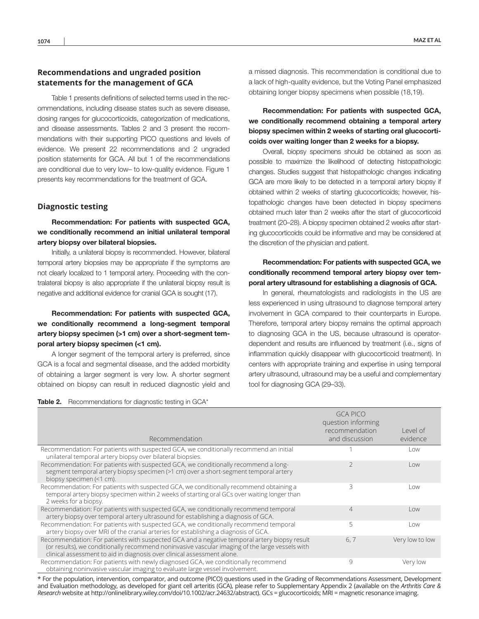# **Recommendations and ungraded position statements for the management of GCA**

Table 1 presents definitions of selected terms used in the recommendations, including disease states such as severe disease, dosing ranges for glucocorticoids, categorization of medications, and disease assessments. Tables 2 and 3 present the recommendations with their supporting PICO questions and levels of evidence. We present 22 recommendations and 2 unaraded position statements for GCA. All but 1 of the recommendations are conditional due to very low– to low-quality evidence. Figure 1 presents key recommendations for the treatment of GCA.

## **Diagnostic testing**

Recommendation: For patients with suspected GCA, we conditionally recommend an initial unilateral temporal artery biopsy over bilateral biopsies.

Initially, a unilateral biopsy is recommended. However, bilateral temporal artery biopsies may be appropriate if the symptoms are not clearly localized to 1 temporal artery. Proceeding with the contralateral biopsy is also appropriate if the unilateral biopsy result is negative and additional evidence for cranial GCA is sought (17).

# Recommendation: For patients with suspected GCA, we conditionally recommend a long-segment temporal artery biopsy specimen (>1 cm) over a short-segment temporal artery biopsy specimen (<1 cm).

A longer segment of the temporal artery is preferred, since GCA is a focal and segmental disease, and the added morbidity of obtaining a larger segment is very low. A shorter segment obtained on biopsy can result in reduced diagnostic yield and a missed diagnosis. This recommendation is conditional due to a lack of high-quality evidence, but the Voting Panel emphasized obtaining longer biopsy specimens when possible (18,19).

Recommendation: For patients with suspected GCA, we conditionally recommend obtaining a temporal artery biopsy specimen within 2 weeks of starting oral glucocorticoids over waiting longer than 2 weeks for a biopsy.

Overall, biopsy specimens should be obtained as soon as possible to maximize the likelihood of detecting histopathologic changes. Studies suggest that histopathologic changes indicating GCA are more likely to be detected in a temporal artery biopsy if obtained within 2 weeks of starting glucocorticoids; however, histopathologic changes have been detected in biopsy specimens obtained much later than 2 weeks after the start of glucocorticoid treatment (20–28). A biopsy specimen obtained 2 weeks after starting glucocorticoids could be informative and may be considered at the discretion of the physician and patient.

# Recommendation: For patients with suspected GCA, we conditionally recommend temporal artery biopsy over temporal artery ultrasound for establishing a diagnosis of GCA.

In general, rheumatologists and radiologists in the US are less experienced in using ultrasound to diagnose temporal artery involvement in GCA compared to their counterparts in Europe. Therefore, temporal artery biopsy remains the optimal approach to diagnosing GCA in the US, because ultrasound is operatordependent and results are influenced by treatment (i.e., signs of inflammation quickly disappear with glucocorticoid treatment). In centers with appropriate training and expertise in using temporal artery ultrasound, ultrasound may be a useful and complementary tool for diagnosing GCA (29–33).

#### Table 2. Recommendations for diagnostic testing in GCA\*

| Recommendation                                                                                                                                                                                                                                                             | <b>GCA PICO</b><br>question informing<br>recommendation<br>and discussion | Level of<br>evidence    |
|----------------------------------------------------------------------------------------------------------------------------------------------------------------------------------------------------------------------------------------------------------------------------|---------------------------------------------------------------------------|-------------------------|
| Recommendation: For patients with suspected GCA, we conditionally recommend an initial<br>unilateral temporal artery biopsy over bilateral biopsies.                                                                                                                       |                                                                           | Low                     |
| Recommendation: For patients with suspected GCA, we conditionally recommend a long-<br>segment temporal artery biopsy specimen (>1 cm) over a short-segment temporal artery<br>biopsy specimen (<1 cm).                                                                    | 2                                                                         | Low                     |
| Recommendation: For patients with suspected GCA, we conditionally recommend obtaining a<br>temporal artery biopsy specimen within 2 weeks of starting oral GCs over waiting longer than<br>2 weeks for a biopsy.                                                           | 3                                                                         | Low                     |
| Recommendation: For patients with suspected GCA, we conditionally recommend temporal<br>artery biopsy over temporal artery ultrasound for establishing a diagnosis of GCA.                                                                                                 | 4                                                                         | $\overline{\text{low}}$ |
| Recommendation: For patients with suspected GCA, we conditionally recommend temporal<br>artery biopsy over MRI of the cranial arteries for establishing a diagnosis of GCA.                                                                                                | 5                                                                         | Low                     |
| Recommendation: For patients with suspected GCA and a negative temporal artery biopsy result<br>(or results), we conditionally recommend noninvasive vascular imaging of the large vessels with<br>clinical assessment to aid in diagnosis over clinical assessment alone. | 6, 7                                                                      | Very low to low         |
| Recommendation: For patients with newly diagnosed GCA, we conditionally recommend<br>obtaining noninvasive vascular imaging to evaluate large vessel involvement.                                                                                                          | 9                                                                         | Very low                |

\* For the population, intervention, comparator, and outcome (PICO) questions used in the Grading of Recommendations Assessment, Development and Evaluation methodology, as developed for giant cell arteritis (GCA), please refer to Supplementary Appendix 2 (available on the *Arthritis Care & Research* website at<http://onlinelibrary.wiley.com/doi/10.1002/acr.24632/abstract>). GCs = glucocorticoids; MRI = magnetic resonance imaging.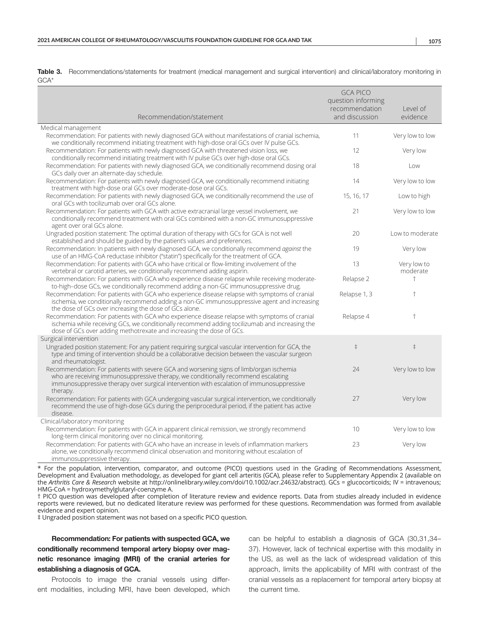|      | Table 3. Recommendations/statements for treatment (medical management and surgical intervention) and clinical/laboratory monitoring in |  |  |  |  |
|------|----------------------------------------------------------------------------------------------------------------------------------------|--|--|--|--|
| GCA* |                                                                                                                                        |  |  |  |  |

|                                                                                                                                                                                                                                                                                        | <b>GCA PICO</b><br>question informing<br>recommendation | Level of                |
|----------------------------------------------------------------------------------------------------------------------------------------------------------------------------------------------------------------------------------------------------------------------------------------|---------------------------------------------------------|-------------------------|
| Recommendation/statement                                                                                                                                                                                                                                                               | and discussion                                          | evidence                |
| Medical management                                                                                                                                                                                                                                                                     | 11                                                      |                         |
| Recommendation: For patients with newly diagnosed GCA without manifestations of cranial ischemia,<br>we conditionally recommend initiating treatment with high-dose oral GCs over IV pulse GCs.                                                                                        |                                                         | Very low to low         |
| Recommendation: For patients with newly diagnosed GCA with threatened vision loss, we<br>conditionally recommend initiating treatment with IV pulse GCs over high-dose oral GCs.                                                                                                       | 12                                                      | Very low                |
| Recommendation: For patients with newly diagnosed GCA, we conditionally recommend dosing oral<br>GCs daily over an alternate-day schedule.                                                                                                                                             | 18                                                      | Low                     |
| Recommendation: For patients with newly diagnosed GCA, we conditionally recommend initiating<br>treatment with high-dose oral GCs over moderate-dose oral GCs.                                                                                                                         | 14                                                      | Very low to low         |
| Recommendation: For patients with newly diagnosed GCA, we conditionally recommend the use of<br>oral GCs with tocilizumab over oral GCs alone.                                                                                                                                         | 15, 16, 17                                              | Low to high             |
| Recommendation: For patients with GCA with active extracranial large vessel involvement, we<br>conditionally recommend treatment with oral GCs combined with a non-GC immunosuppressive<br>agent over oral GCs alone.                                                                  | 21                                                      | Very low to low         |
| Ungraded position statement: The optimal duration of therapy with GCs for GCA is not well<br>established and should be guided by the patient's values and preferences.                                                                                                                 | 20                                                      | Low to moderate         |
| Recommendation: In patients with newly diagnosed GCA, we conditionally recommend against the<br>use of an HMG-CoA reductase inhibitor ("statin") specifically for the treatment of GCA.                                                                                                | 19                                                      | Very low                |
| Recommendation: For patients with GCA who have critical or flow-limiting involvement of the<br>vertebral or carotid arteries, we conditionally recommend adding aspirin.                                                                                                               | 13                                                      | Very low to<br>moderate |
| Recommendation: For patients with GCA who experience disease relapse while receiving moderate-<br>to-high-dose GCs, we conditionally recommend adding a non-GC immunosuppressive drug.                                                                                                 | Relapse 2                                               | $\ddagger$              |
| Recommendation: For patients with GCA who experience disease relapse with symptoms of cranial<br>ischemia, we conditionally recommend adding a non-GC immunosuppressive agent and increasing<br>the dose of GCs over increasing the dose of GCs alone.                                 | Relapse 1, 3                                            | $\ddagger$              |
| Recommendation: For patients with GCA who experience disease relapse with symptoms of cranial<br>ischemia while receiving GCs, we conditionally recommend adding tocilizumab and increasing the<br>dose of GCs over adding methotrexate and increasing the dose of GCs.                | Relapse 4                                               | $\ddagger$              |
| Surgical intervention                                                                                                                                                                                                                                                                  |                                                         |                         |
| Ungraded position statement: For any patient requiring surgical vascular intervention for GCA, the<br>type and timing of intervention should be a collaborative decision between the vascular surgeon<br>and rheumatologist.                                                           | $\ddagger$                                              | $\ddagger$              |
| Recommendation: For patients with severe GCA and worsening signs of limb/organ ischemia<br>who are receiving immunosuppressive therapy, we conditionally recommend escalating<br>immunosuppressive therapy over surgical intervention with escalation of immunosuppressive<br>therapy. | 24                                                      | Very low to low         |
| Recommendation: For patients with GCA undergoing vascular surgical intervention, we conditionally<br>recommend the use of high-dose GCs during the periprocedural period, if the patient has active<br>disease.                                                                        | 27                                                      | Very low                |
| Clinical/laboratory monitoring                                                                                                                                                                                                                                                         |                                                         |                         |
| Recommendation: For patients with GCA in apparent clinical remission, we strongly recommend                                                                                                                                                                                            | 10                                                      | Very low to low         |
| long-term clinical monitoring over no clinical monitoring.<br>Recommendation: For patients with GCA who have an increase in levels of inflammation markers<br>alone, we conditionally recommend clinical observation and monitoring without escalation of                              | 23                                                      | Very low                |
| immunosuppressive therapy.                                                                                                                                                                                                                                                             |                                                         |                         |

\* For the population, intervention, comparator, and outcome (PICO) questions used in the Grading of Recommendations Assessment, Development and Evaluation methodology, as developed for giant cell arteritis (GCA), please refer to Supplementary Appendix 2 (available on the *Arthritis Care & Research* website at <http://onlinelibrary.wiley.com/doi/10.1002/acr.24632/abstract>). GCs = glucocorticoids; IV = intravenous; HMG-CoA = hydroxymethylglutaryl-coenzyme A.

† PICO question was developed after completion of literature review and evidence reports. Data from studies already included in evidence reports were reviewed, but no dedicated literature review was performed for these questions. Recommendation was formed from available evidence and expert opinion.

‡ Ungraded position statement was not based on a specific PICO question.

# Recommendation: For patients with suspected GCA, we conditionally recommend temporal artery biopsy over magnetic resonance imaging (MRI) of the cranial arteries for establishing a diagnosis of GCA.

Protocols to image the cranial vessels using different modalities, including MRI, have been developed, which can be helpful to establish a diagnosis of GCA (30,31,34– 37). However, lack of technical expertise with this modality in the US, as well as the lack of widespread validation of this approach, limits the applicability of MRI with contrast of the cranial vessels as a replacement for temporal artery biopsy at the current time.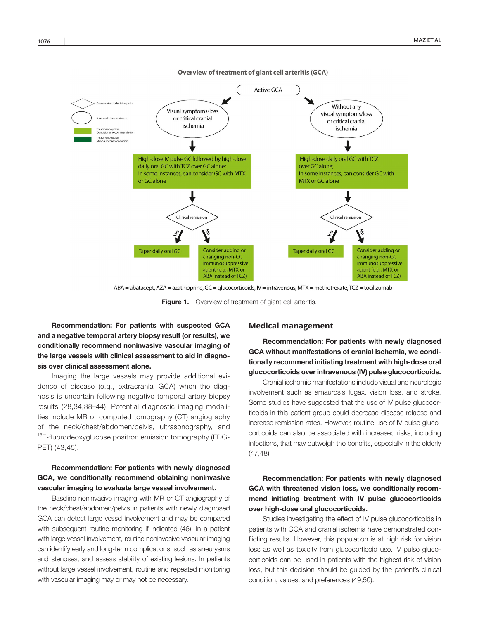

**Overview of treatment of giant cell arteritis (GCA)** 

ABA = abatacept, AZA = azathioprine, GC = glucocorticoids, IV = intravenous, MTX = methotrexate, TCZ = tocilizumab

Figure 1. Overview of treatment of giant cell arteritis.

Recommendation: For patients with suspected GCA and a negative temporal artery biopsy result (or results), we conditionally recommend noninvasive vascular imaging of the large vessels with clinical assessment to aid in diagnosis over clinical assessment alone.

Imaging the large vessels may provide additional evidence of disease (e.g., extracranial GCA) when the diagnosis is uncertain following negative temporal artery biopsy results (28,34,38–44). Potential diagnostic imaging modalities include MR or computed tomography (CT) angiography of the neck/chest/abdomen/pelvis, ultrasonography, and <sup>18</sup>F-fluorodeoxyglucose positron emission tomography (FDG-PET) (43,45).

# Recommendation: For patients with newly diagnosed GCA, we conditionally recommend obtaining noninvasive vascular imaging to evaluate large vessel involvement.

Baseline noninvasive imaging with MR or CT angiography of the neck/chest/abdomen/pelvis in patients with newly diagnosed GCA can detect large vessel involvement and may be compared with subsequent routine monitoring if indicated (46). In a patient with large vessel involvement, routine noninvasive vascular imaging can identify early and long-term complications, such as aneurysms and stenoses, and assess stability of existing lesions. In patients without large vessel involvement, routine and repeated monitoring with vascular imaging may or may not be necessary.

## **Medical management**

Recommendation: For patients with newly diagnosed GCA without manifestations of cranial ischemia, we conditionally recommend initiating treatment with high-dose oral glucocorticoids over intravenous (IV) pulse glucocorticoids.

Cranial ischemic manifestations include visual and neurologic involvement such as amaurosis fugax, vision loss, and stroke. Some studies have suggested that the use of IV pulse glucocorticoids in this patient group could decrease disease relapse and increase remission rates. However, routine use of IV pulse glucocorticoids can also be associated with increased risks, including infections, that may outweigh the benefits, especially in the elderly (47,48).

# Recommendation: For patients with newly diagnosed GCA with threatened vision loss, we conditionally recommend initiating treatment with IV pulse glucocorticoids over high-dose oral glucocorticoids.

Studies investigating the effect of IV pulse glucocorticoids in patients with GCA and cranial ischemia have demonstrated conflicting results. However, this population is at high risk for vision loss as well as toxicity from glucocorticoid use. IV pulse glucocorticoids can be used in patients with the highest risk of vision loss, but this decision should be guided by the patient's clinical condition, values, and preferences (49,50).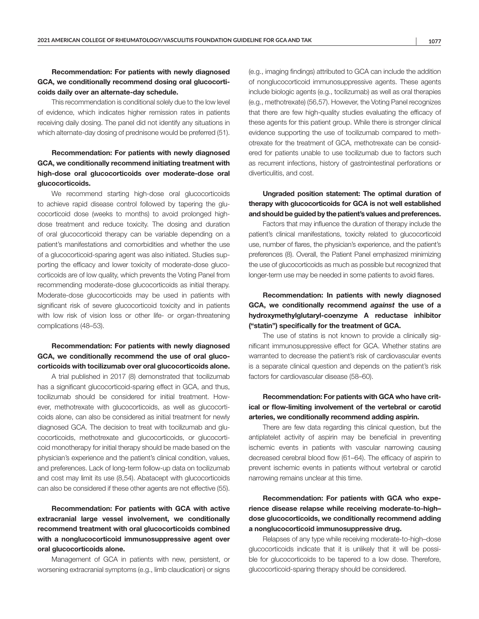# Recommendation: For patients with newly diagnosed GCA, we conditionally recommend dosing oral glucocorticoids daily over an alternate-day schedule.

This recommendation is conditional solely due to the low level of evidence, which indicates higher remission rates in patients receiving daily dosing. The panel did not identify any situations in which alternate-day dosing of prednisone would be preferred (51).

# Recommendation: For patients with newly diagnosed GCA, we conditionally recommend initiating treatment with high-dose oral glucocorticoids over moderate-dose oral glucocorticoids.

We recommend starting high-dose oral glucocorticoids to achieve rapid disease control followed by tapering the glucocorticoid dose (weeks to months) to avoid prolonged highdose treatment and reduce toxicity. The dosing and duration of oral glucocorticoid therapy can be variable depending on a patient's manifestations and comorbidities and whether the use of a glucocorticoid-sparing agent was also initiated. Studies supporting the efficacy and lower toxicity of moderate-dose glucocorticoids are of low quality, which prevents the Voting Panel from recommending moderate-dose glucocorticoids as initial therapy. Moderate-dose glucocorticoids may be used in patients with significant risk of severe glucocorticoid toxicity and in patients with low risk of vision loss or other life- or organ-threatening complications (48–53).

## Recommendation: For patients with newly diagnosed GCA, we conditionally recommend the use of oral glucocorticoids with tocilizumab over oral glucocorticoids alone.

A trial published in 2017 (8) demonstrated that tocilizumab has a significant glucocorticoid-sparing effect in GCA, and thus, tocilizumab should be considered for initial treatment. However, methotrexate with glucocorticoids, as well as glucocorticoids alone, can also be considered as initial treatment for newly diagnosed GCA. The decision to treat with tocilizumab and glucocorticoids, methotrexate and glucocorticoids, or glucocorticoid monotherapy for initial therapy should be made based on the physician's experience and the patient's clinical condition, values, and preferences. Lack of long-term follow-up data on tocilizumab and cost may limit its use (8,54). Abatacept with glucocorticoids can also be considered if these other agents are not effective (55).

Recommendation: For patients with GCA with active extracranial large vessel involvement, we conditionally recommend treatment with oral glucocorticoids combined with a nonglucocorticoid immunosuppressive agent over oral glucocorticoids alone.

Management of GCA in patients with new, persistent, or worsening extracranial symptoms (e.g., limb claudication) or signs (e.g., imaging findings) attributed to GCA can include the addition of nonglucocorticoid immunosuppressive agents. These agents include biologic agents (e.g., tocilizumab) as well as oral therapies (e.g., methotrexate) (56,57). However, the Voting Panel recognizes that there are few high-quality studies evaluating the efficacy of these agents for this patient group. While there is stronger clinical evidence supporting the use of tocilizumab compared to methotrexate for the treatment of GCA, methotrexate can be considered for patients unable to use tocilizumab due to factors such as recurrent infections, history of gastrointestinal perforations or diverticulitis, and cost.

Ungraded position statement: The optimal duration of therapy with glucocorticoids for GCA is not well established and should be guided by the patient's values and preferences.

Factors that may influence the duration of therapy include the patient's clinical manifestations, toxicity related to glucocorticoid use, number of flares, the physician's experience, and the patient's preferences (8). Overall, the Patient Panel emphasized minimizing the use of glucocorticoids as much as possible but recognized that longer-term use may be needed in some patients to avoid flares.

# Recommendation: In patients with newly diagnosed GCA, we conditionally recommend *against* the use of a hydroxymethylglutaryl-coenzyme A reductase inhibitor ("statin") specifically for the treatment of GCA.

The use of statins is not known to provide a clinically significant immunosuppressive effect for GCA. Whether statins are warranted to decrease the patient's risk of cardiovascular events is a separate clinical question and depends on the patient's risk factors for cardiovascular disease (58–60).

# Recommendation: For patients with GCA who have critical or flow-limiting involvement of the vertebral or carotid arteries, we conditionally recommend adding aspirin.

There are few data regarding this clinical question, but the antiplatelet activity of aspirin may be beneficial in preventing ischemic events in patients with vascular narrowing causing decreased cerebral blood flow (61–64). The efficacy of aspirin to prevent ischemic events in patients without vertebral or carotid narrowing remains unclear at this time.

Recommendation: For patients with GCA who experience disease relapse while receiving moderate-to-high– dose glucocorticoids, we conditionally recommend adding a nonglucocorticoid immunosuppressive drug.

Relapses of any type while receiving moderate-to-high–dose glucocorticoids indicate that it is unlikely that it will be possible for glucocorticoids to be tapered to a low dose. Therefore, glucocorticoid-sparing therapy should be considered.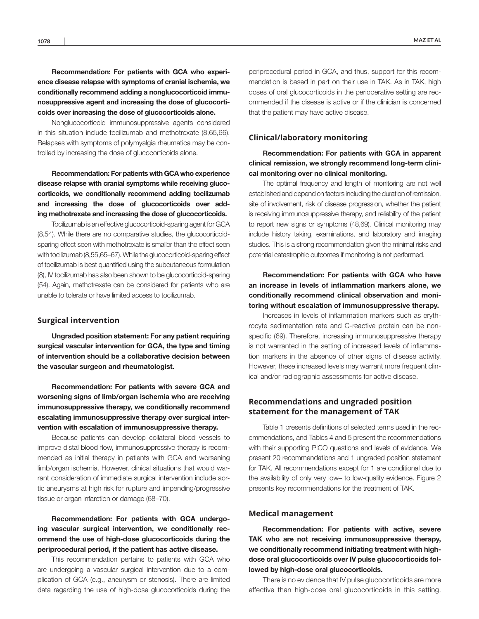Recommendation: For patients with GCA who experience disease relapse with symptoms of cranial ischemia, we conditionally recommend adding a nonglucocorticoid immunosuppressive agent and increasing the dose of glucocorticoids over increasing the dose of glucocorticoids alone.

Nonglucocorticoid immunosuppressive agents considered in this situation include tocilizumab and methotrexate (8,65,66). Relapses with symptoms of polymyalgia rheumatica may be controlled by increasing the dose of glucocorticoids alone.

Recommendation: For patients with GCA who experience disease relapse with cranial symptoms while receiving glucocorticoids, we conditionally recommend adding tocilizumab and increasing the dose of glucocorticoids over adding methotrexate and increasing the dose of glucocorticoids.

Tocilizumab is an effective glucocorticoid-sparing agent for GCA (8,54). While there are no comparative studies, the glucocorticoidsparing effect seen with methotrexate is smaller than the effect seen with tocilizumab (8,55,65–67). While the glucocorticoid-sparing effect of tocilizumab is best quantified using the subcutaneous formulation (8), IV tocilizumab has also been shown to be glucocorticoid-sparing (54). Again, methotrexate can be considered for patients who are unable to tolerate or have limited access to tocilizumab.

#### **Surgical intervention**

Ungraded position statement: For any patient requiring surgical vascular intervention for GCA, the type and timing of intervention should be a collaborative decision between the vascular surgeon and rheumatologist.

Recommendation: For patients with severe GCA and worsening signs of limb/organ ischemia who are receiving immunosuppressive therapy, we conditionally recommend escalating immunosuppressive therapy over surgical intervention with escalation of immunosuppressive therapy.

Because patients can develop collateral blood vessels to improve distal blood flow, immunosuppressive therapy is recommended as initial therapy in patients with GCA and worsening limb/organ ischemia. However, clinical situations that would warrant consideration of immediate surgical intervention include aortic aneurysms at high risk for rupture and impending/progressive tissue or organ infarction or damage (68–70).

# Recommendation: For patients with GCA undergoing vascular surgical intervention, we conditionally recommend the use of high-dose glucocorticoids during the periprocedural period, if the patient has active disease.

This recommendation pertains to patients with GCA who are undergoing a vascular surgical intervention due to a complication of GCA (e.g., aneurysm or stenosis). There are limited data regarding the use of high-dose glucocorticoids during the

periprocedural period in GCA, and thus, support for this recommendation is based in part on their use in TAK. As in TAK, high doses of oral glucocorticoids in the perioperative setting are recommended if the disease is active or if the clinician is concerned that the patient may have active disease.

## **Clinical/laboratory monitoring**

Recommendation: For patients with GCA in apparent clinical remission, we strongly recommend long-term clinical monitoring over no clinical monitoring.

The optimal frequency and length of monitoring are not well established and depend on factors including the duration of remission, site of involvement, risk of disease progression, whether the patient is receiving immunosuppressive therapy, and reliability of the patient to report new signs or symptoms (48,69). Clinical monitoring may include history taking, examinations, and laboratory and imaging studies. This is a strong recommendation given the minimal risks and potential catastrophic outcomes if monitoring is not performed.

# Recommendation: For patients with GCA who have an increase in levels of inflammation markers alone, we conditionally recommend clinical observation and monitoring without escalation of immunosuppressive therapy.

Increases in levels of inflammation markers such as erythrocyte sedimentation rate and C-reactive protein can be nonspecific (69). Therefore, increasing immunosuppressive therapy is not warranted in the setting of increased levels of inflammation markers in the absence of other signs of disease activity. However, these increased levels may warrant more frequent clinical and/or radiographic assessments for active disease.

## **Recommendations and ungraded position statement for the management of TAK**

Table 1 presents definitions of selected terms used in the recommendations, and Tables 4 and 5 present the recommendations with their supporting PICO questions and levels of evidence. We present 20 recommendations and 1 ungraded position statement for TAK. All recommendations except for 1 are conditional due to the availability of only very low– to low-quality evidence. Figure 2 presents key recommendations for the treatment of TAK.

#### **Medical management**

Recommendation: For patients with active, severe TAK who are not receiving immunosuppressive therapy, we conditionally recommend initiating treatment with highdose oral glucocorticoids over IV pulse glucocorticoids followed by high-dose oral glucocorticoids.

There is no evidence that IV pulse glucocorticoids are more effective than high-dose oral glucocorticoids in this setting.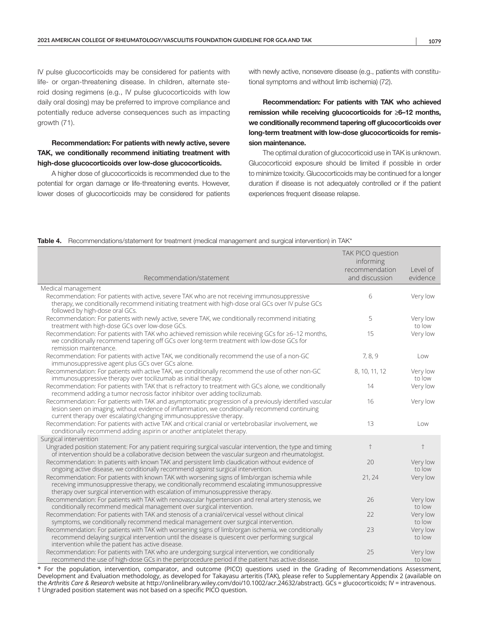IV pulse glucocorticoids may be considered for patients with life- or organ-threatening disease. In children, alternate steroid dosing regimens (e.g., IV pulse glucocorticoids with low daily oral dosing) may be preferred to improve compliance and potentially reduce adverse consequences such as impacting growth (71).

# Recommendation: For patients with newly active, severe TAK, we conditionally recommend initiating treatment with high-dose glucocorticoids over low-dose glucocorticoids.

A higher dose of glucocorticoids is recommended due to the potential for organ damage or life-threatening events. However, lower doses of glucocorticoids may be considered for patients with newly active, nonsevere disease (e.g., patients with constitutional symptoms and without limb ischemia) (72).

Recommendation: For patients with TAK who achieved remission while receiving glucocorticoids for ≥6–12 months, we conditionally recommend tapering off glucocorticoids over long-term treatment with low-dose glucocorticoids for remission maintenance.

The optimal duration of glucocorticoid use in TAK is unknown. Glucocorticoid exposure should be limited if possible in order to minimize toxicity. Glucocorticoids may be continued for a longer duration if disease is not adequately controlled or if the patient experiences frequent disease relapse.

#### Table 4. Recommendations/statement for treatment (medical management and surgical intervention) in TAK\*

|                                                                                                                                                                                                                                                                                   | TAK PICO question<br>informing |                         |
|-----------------------------------------------------------------------------------------------------------------------------------------------------------------------------------------------------------------------------------------------------------------------------------|--------------------------------|-------------------------|
|                                                                                                                                                                                                                                                                                   | recommendation                 | Level of                |
| Recommendation/statement                                                                                                                                                                                                                                                          | and discussion                 | evidence                |
| Medical management                                                                                                                                                                                                                                                                |                                |                         |
| Recommendation: For patients with active, severe TAK who are not receiving immunosuppressive<br>therapy, we conditionally recommend initiating treatment with high-dose oral GCs over IV pulse GCs<br>followed by high-dose oral GCs.                                             | 6                              | Very low                |
| Recommendation: For patients with newly active, severe TAK, we conditionally recommend initiating<br>treatment with high-dose GCs over low-dose GCs.                                                                                                                              | 5                              | Very low<br>to low      |
| Recommendation: For patients with TAK who achieved remission while receiving GCs for ≥6-12 months,<br>we conditionally recommend tapering off GCs over long-term treatment with low-dose GCs for<br>remission maintenance.                                                        | 15                             | Very low                |
| Recommendation: For patients with active TAK, we conditionally recommend the use of a non-GC<br>immunosuppressive agent plus GCs over GCs alone.                                                                                                                                  | 7, 8, 9                        | Low                     |
| Recommendation: For patients with active TAK, we conditionally recommend the use of other non-GC<br>immunosuppressive therapy over tocilizumab as initial therapy.                                                                                                                | 8, 10, 11, 12                  | Very low<br>to low      |
| Recommendation: For patients with TAK that is refractory to treatment with GCs alone, we conditionally<br>recommend adding a tumor necrosis factor inhibitor over adding tocilizumab.                                                                                             | 14                             | Very low                |
| Recommendation: For patients with TAK and asymptomatic progression of a previously identified vascular<br>lesion seen on imaging, without evidence of inflammation, we conditionally recommend continuing<br>current therapy over escalating/changing immunosuppressive therapy.  | 16                             | Very low                |
| Recommendation: For patients with active TAK and critical cranial or vertebrobasilar involvement, we<br>conditionally recommend adding aspirin or another antiplatelet therapy.                                                                                                   | 13                             | $\overline{\text{low}}$ |
| Surgical intervention                                                                                                                                                                                                                                                             |                                |                         |
| Ungraded position statement: For any patient requiring surgical vascular intervention, the type and timing<br>of intervention should be a collaborative decision between the vascular surgeon and rheumatologist.                                                                 | $\ddagger$                     | $\ddagger$              |
| Recommendation: In patients with known TAK and persistent limb claudication without evidence of<br>ongoing active disease, we conditionally recommend against surgical intervention.                                                                                              | 20                             | Very low<br>to low      |
| Recommendation: For patients with known TAK with worsening signs of limb/organ ischemia while<br>receiving immunosuppressive therapy, we conditionally recommend escalating immunosuppressive<br>therapy over surgical intervention with escalation of immunosuppressive therapy. | 21, 24                         | Very low                |
| Recommendation: For patients with TAK with renovascular hypertension and renal artery stenosis, we<br>conditionally recommend medical management over surgical intervention.                                                                                                      | 26                             | Very low<br>to low      |
| Recommendation: For patients with TAK and stenosis of a cranial/cervical vessel without clinical<br>symptoms, we conditionally recommend medical management over surgical intervention.                                                                                           | 22                             | Very low<br>to low      |
| Recommendation: For patients with TAK with worsening signs of limb/organ ischemia, we conditionally<br>recommend delaying surgical intervention until the disease is quiescent over performing surgical<br>intervention while the patient has active disease.                     | 23                             | Very low<br>to low      |
| Recommendation: For patients with TAK who are undergoing surgical intervention, we conditionally<br>recommend the use of high-dose GCs in the periprocedure period if the patient has active disease.                                                                             | 25                             | Very low<br>to low      |

For the population, intervention, comparator, and outcome (PICO) questions used in the Grading of Recommendations Assessment, Development and Evaluation methodology, as developed for Takayasu arteritis (TAK), please refer to Supplementary Appendix 2 (available on the *Arthritis Care & Research* website at [http://onlinelibrary.wiley.com/doi/10.1002/acr.24632/abstract\)](http://onlinelibrary.wiley.com/doi/10.1002/acr.24632/abstract). GCs = glucocorticoids; IV = intravenous. † Ungraded position statement was not based on a specific PICO question.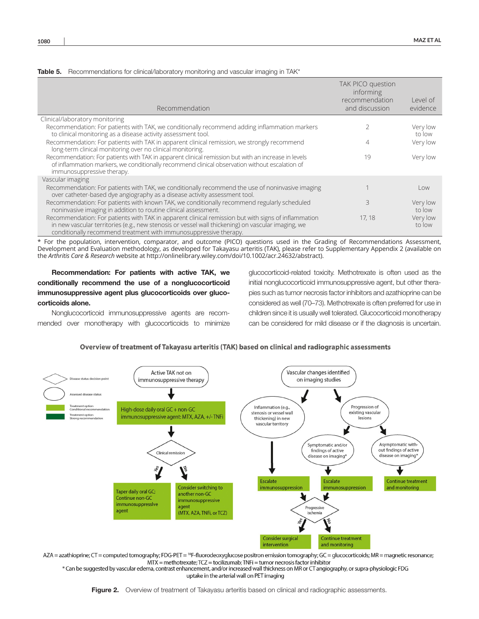|  |  |  | <b>Table 5.</b> Recommendations for clinical/laboratory monitoring and vascular imaging in TAK* |  |
|--|--|--|-------------------------------------------------------------------------------------------------|--|
|  |  |  |                                                                                                 |  |

| Recommendation                                                                                                                                                                                                                                                                 | TAK PICO question<br>informing<br>recommendation<br>and discussion | Level of<br>evidence |
|--------------------------------------------------------------------------------------------------------------------------------------------------------------------------------------------------------------------------------------------------------------------------------|--------------------------------------------------------------------|----------------------|
| Clinical/laboratory monitoring                                                                                                                                                                                                                                                 |                                                                    |                      |
| Recommendation: For patients with TAK, we conditionally recommend adding inflammation markers<br>to clinical monitoring as a disease activity assessment tool.                                                                                                                 |                                                                    | Very low<br>to low   |
| Recommendation: For patients with TAK in apparent clinical remission, we strongly recommend<br>long-term clinical monitoring over no clinical monitoring.                                                                                                                      |                                                                    | Very low             |
| Recommendation: For patients with TAK in apparent clinical remission but with an increase in levels<br>of inflammation markers, we conditionally recommend clinical observation without escalation of<br>immunosuppressive therapy.                                            | 19                                                                 | Very low             |
| Vascular imaging                                                                                                                                                                                                                                                               |                                                                    |                      |
| Recommendation: For patients with TAK, we conditionally recommend the use of noninvasive imaging<br>over catheter-based dye angiography as a disease activity assessment tool.                                                                                                 |                                                                    | Low                  |
| Recommendation: For patients with known TAK, we conditionally recommend regularly scheduled<br>noninvasive imaging in addition to routine clinical assessment.                                                                                                                 | ζ                                                                  | Very low<br>to low   |
| Recommendation: For patients with TAK in apparent clinical remission but with signs of inflammation<br>in new vascular territories (e.g., new stenosis or vessel wall thickening) on vascular imaging, we<br>conditionally recommend treatment with immunosuppressive therapy. | 17, 18                                                             | Very low<br>to low   |

\* For the population, intervention, comparator, and outcome (PICO) questions used in the Grading of Recommendations Assessment, Development and Evaluation methodology, as developed for Takayasu arteritis (TAK), please refer to Supplementary Appendix 2 (available on the *Arthritis Care & Research* website at [http://onlinelibrary.wiley.com/doi/10.1002/acr.24632/abstract\)](http://onlinelibrary.wiley.com/doi/10.1002/acr.24632/abstract).

Recommendation: For patients with active TAK, we conditionally recommend the use of a nonglucocorticoid immunosuppressive agent plus glucocorticoids over glucocorticoids alone.

Nonglucocorticoid immunosuppressive agents are recommended over monotherapy with glucocorticoids to minimize glucocorticoid-related toxicity. Methotrexate is often used as the initial nonglucocorticoid immunosuppressive agent, but other therapies such as tumor necrosis factor inhibitors and azathioprine can be considered as well (70–73). Methotrexate is often preferred for use in children since it is usually well tolerated. Glucocorticoid monotherapy can be considered for mild disease or if the diagnosis is uncertain.

Overview of treatment of Takayasu arteritis (TAK) based on clinical and radiographic assessments



AZA = azathioprine; CT = computed tomography; FDG-PET = <sup>18</sup>F-fluorodeoxyglucose positron emission tomography; GC = glucocorticoids; MR = magnetic resonance; MTX = methotrexate; TCZ = tocilizumab; TNFi = tumor necrosis factor inhibitor

\* Can be suggested by vascular edema, contrast enhancement, and/or increased wall thickness on MR or CT angiography, or supra-physiologic FDG uptake in the arterial wall on PET imaging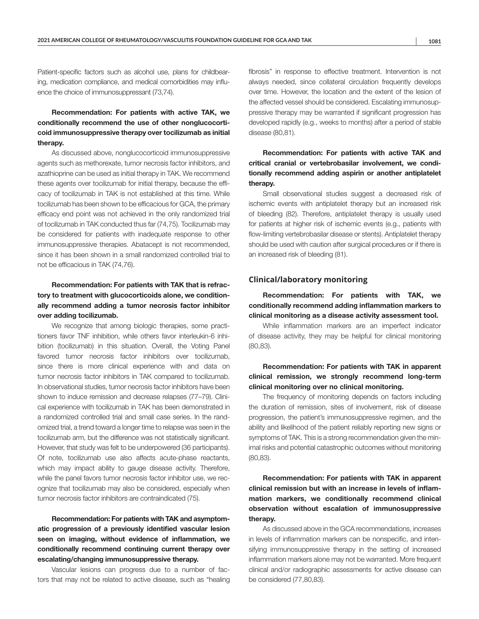Patient-specific factors such as alcohol use, plans for childbearing, medication compliance, and medical comorbidities may influence the choice of immunosuppressant (73,74).

# Recommendation: For patients with active TAK, we conditionally recommend the use of other nonglucocorticoid immunosuppressive therapy over tocilizumab as initial therapy.

As discussed above, nonglucocorticoid immunosuppressive agents such as methorexate, tumor necrosis factor inhibitors, and azathioprine can be used as initial therapy in TAK. We recommend these agents over tocilizumab for initial therapy, because the efficacy of tocilizumab in TAK is not established at this time. While tocilizumab has been shown to be efficacious for GCA, the primary efficacy end point was not achieved in the only randomized trial of tocilizumab in TAK conducted thus far (74,75). Tocilizumab may be considered for patients with inadequate response to other immunosuppressive therapies. Abatacept is not recommended, since it has been shown in a small randomized controlled trial to not be efficacious in TAK (74,76).

# Recommendation: For patients with TAK that is refractory to treatment with glucocorticoids alone, we conditionally recommend adding a tumor necrosis factor inhibitor over adding tocilizumab.

We recognize that among biologic therapies, some practitioners favor TNF inhibition, while others favor interleukin-6 inhibition (tocilizumab) in this situation. Overall, the Voting Panel favored tumor necrosis factor inhibitors over tocilizumab, since there is more clinical experience with and data on tumor necrosis factor inhibitors in TAK compared to tocilizumab. In observational studies, tumor necrosis factor inhibitors have been shown to induce remission and decrease relapses (77–79). Clinical experience with tocilizumab in TAK has been demonstrated in a randomized controlled trial and small case series. In the randomized trial, a trend toward a longer time to relapse was seen in the tocilizumab arm, but the difference was not statistically significant. However, that study was felt to be underpowered (36 participants). Of note, tocilizumab use also affects acute-phase reactants, which may impact ability to gauge disease activity. Therefore, while the panel favors tumor necrosis factor inhibitor use, we recognize that tocilizumab may also be considered, especially when tumor necrosis factor inhibitors are contraindicated (75).

# Recommendation: For patients with TAK and asymptomatic progression of a previously identified vascular lesion seen on imaging, without evidence of inflammation, we conditionally recommend continuing current therapy over escalating/changing immunosuppressive therapy.

Vascular lesions can progress due to a number of factors that may not be related to active disease, such as "healing fibrosis" in response to effective treatment. Intervention is not always needed, since collateral circulation frequently develops over time. However, the location and the extent of the lesion of the affected vessel should be considered. Escalating immunosuppressive therapy may be warranted if significant progression has developed rapidly (e.g., weeks to months) after a period of stable disease (80,81).

# Recommendation: For patients with active TAK and critical cranial or vertebrobasilar involvement, we conditionally recommend adding aspirin or another antiplatelet therapy.

Small observational studies suggest a decreased risk of ischemic events with antiplatelet therapy but an increased risk of bleeding (82). Therefore, antiplatelet therapy is usually used for patients at higher risk of ischemic events (e.g., patients with flow-limiting vertebrobasilar disease or stents). Antiplatelet therapy should be used with caution after surgical procedures or if there is an increased risk of bleeding (81).

## **Clinical/laboratory monitoring**

Recommendation: For patients with TAK, we conditionally recommend adding inflammation markers to clinical monitoring as a disease activity assessment tool.

While inflammation markers are an imperfect indicator of disease activity, they may be helpful for clinical monitoring (80,83).

# Recommendation: For patients with TAK in apparent clinical remission, we strongly recommend long-term clinical monitoring over no clinical monitoring.

The frequency of monitoring depends on factors including the duration of remission, sites of involvement, risk of disease progression, the patient's immunosuppressive regimen, and the ability and likelihood of the patient reliably reporting new signs or symptoms of TAK. This is a strong recommendation given the minimal risks and potential catastrophic outcomes without monitoring (80,83).

# Recommendation: For patients with TAK in apparent clinical remission but with an increase in levels of inflammation markers, we conditionally recommend clinical observation without escalation of immunosuppressive therapy.

As discussed above in the GCA recommendations, increases in levels of inflammation markers can be nonspecific, and intensifying immunosuppressive therapy in the setting of increased inflammation markers alone may not be warranted. More frequent clinical and/or radiographic assessments for active disease can be considered (77,80,83).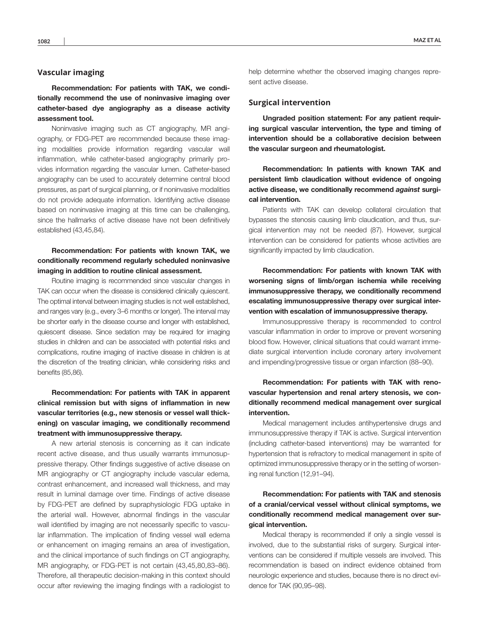## **Vascular imaging**

Recommendation: For patients with TAK, we conditionally recommend the use of noninvasive imaging over catheter-based dye angiography as a disease activity assessment tool.

Noninvasive imaging such as CT angiography, MR angiography, or FDG-PET are recommended because these imaging modalities provide information regarding vascular wall inflammation, while catheter-based angiography primarily provides information regarding the vascular lumen. Catheter-based angiography can be used to accurately determine central blood pressures, as part of surgical planning, or if noninvasive modalities do not provide adequate information. Identifying active disease based on noninvasive imaging at this time can be challenging, since the hallmarks of active disease have not been definitively established (43,45,84).

## Recommendation: For patients with known TAK, we conditionally recommend regularly scheduled noninvasive imaging in addition to routine clinical assessment.

Routine imaging is recommended since vascular changes in TAK can occur when the disease is considered clinically quiescent. The optimal interval between imaging studies is not well established, and ranges vary (e.g., every 3–6 months or longer). The interval may be shorter early in the disease course and longer with established, quiescent disease. Since sedation may be required for imaging studies in children and can be associated with potential risks and complications, routine imaging of inactive disease in children is at the discretion of the treating clinician, while considering risks and benefits (85,86).

Recommendation: For patients with TAK in apparent clinical remission but with signs of inflammation in new vascular territories (e.g., new stenosis or vessel wall thickening) on vascular imaging, we conditionally recommend treatment with immunosuppressive therapy.

A new arterial stenosis is concerning as it can indicate recent active disease, and thus usually warrants immunosuppressive therapy. Other findings suggestive of active disease on MR angiography or CT angiography include vascular edema, contrast enhancement, and increased wall thickness, and may result in luminal damage over time. Findings of active disease by FDG-PET are defined by supraphysiologic FDG uptake in the arterial wall. However, abnormal findings in the vascular wall identified by imaging are not necessarily specific to vascular inflammation. The implication of finding vessel wall edema or enhancement on imaging remains an area of investigation, and the clinical importance of such findings on CT angiography, MR angiography, or FDG-PET is not certain (43,45,80,83–86). Therefore, all therapeutic decision-making in this context should occur after reviewing the imaging findings with a radiologist to

help determine whether the observed imaging changes represent active disease.

## **Surgical intervention**

Ungraded position statement: For any patient requiring surgical vascular intervention, the type and timing of intervention should be a collaborative decision between the vascular surgeon and rheumatologist.

Recommendation: In patients with known TAK and persistent limb claudication without evidence of ongoing active disease, we conditionally recommend *against* surgical intervention.

Patients with TAK can develop collateral circulation that bypasses the stenosis causing limb claudication, and thus, surgical intervention may not be needed (87). However, surgical intervention can be considered for patients whose activities are significantly impacted by limb claudication.

Recommendation: For patients with known TAK with worsening signs of limb/organ ischemia while receiving immunosuppressive therapy, we conditionally recommend escalating immunosuppressive therapy over surgical intervention with escalation of immunosuppressive therapy.

Immunosuppressive therapy is recommended to control vascular inflammation in order to improve or prevent worsening blood flow. However, clinical situations that could warrant immediate surgical intervention include coronary artery involvement and impending/progressive tissue or organ infarction (88–90).

Recommendation: For patients with TAK with renovascular hypertension and renal artery stenosis, we conditionally recommend medical management over surgical intervention.

Medical management includes antihypertensive drugs and immunosuppressive therapy if TAK is active. Surgical intervention (including catheter-based interventions) may be warranted for hypertension that is refractory to medical management in spite of optimized immunosuppressive therapy or in the setting of worsening renal function (12,91–94).

# Recommendation: For patients with TAK and stenosis of a cranial/cervical vessel without clinical symptoms, we conditionally recommend medical management over surgical intervention.

Medical therapy is recommended if only a single vessel is involved, due to the substantial risks of surgery. Surgical interventions can be considered if multiple vessels are involved. This recommendation is based on indirect evidence obtained from neurologic experience and studies, because there is no direct evidence for TAK (90,95–98).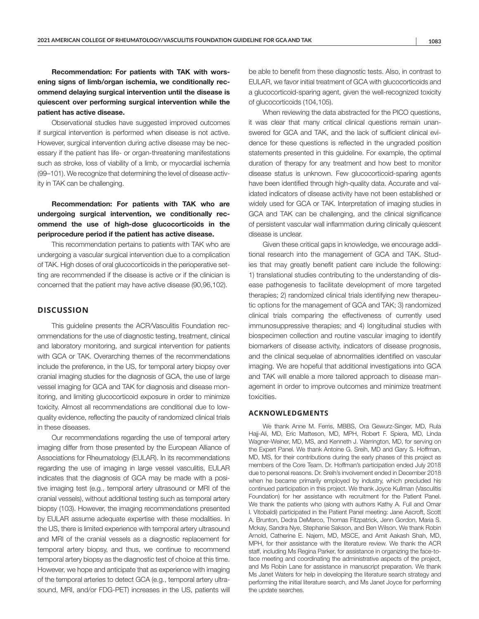Recommendation: For patients with TAK with worsening signs of limb/organ ischemia, we conditionally recommend delaying surgical intervention until the disease is quiescent over performing surgical intervention while the patient has active disease.

Observational studies have suggested improved outcomes if surgical intervention is performed when disease is not active. However, surgical intervention during active disease may be necessary if the patient has life- or organ-threatening manifestations such as stroke, loss of viability of a limb, or myocardial ischemia (99–101). We recognize that determining the level of disease activity in TAK can be challenging.

Recommendation: For patients with TAK who are undergoing surgical intervention, we conditionally recommend the use of high-dose glucocorticoids in the periprocedure period if the patient has active disease.

This recommendation pertains to patients with TAK who are undergoing a vascular surgical intervention due to a complication of TAK. High doses of oral glucocorticoids in the perioperative setting are recommended if the disease is active or if the clinician is concerned that the patient may have active disease (90,96,102).

## **DISCUSSION**

This guideline presents the ACR/Vasculitis Foundation recommendations for the use of diagnostic testing, treatment, clinical and laboratory monitoring, and surgical intervention for patients with GCA or TAK. Overarching themes of the recommendations include the preference, in the US, for temporal artery biopsy over cranial imaging studies for the diagnosis of GCA, the use of large vessel imaging for GCA and TAK for diagnosis and disease monitoring, and limiting glucocorticoid exposure in order to minimize toxicity. Almost all recommendations are conditional due to lowquality evidence, reflecting the paucity of randomized clinical trials in these diseases.

Our recommendations regarding the use of temporal artery imaging differ from those presented by the European Alliance of Associations for Rheumatology (EULAR). In its recommendations regarding the use of imaging in large vessel vasculitis, EULAR indicates that the diagnosis of GCA may be made with a positive imaging test (e.g., temporal artery ultrasound or MRI of the cranial vessels), without additional testing such as temporal artery biopsy (103). However, the imaging recommendations presented by EULAR assume adequate expertise with these modalities. In the US, there is limited experience with temporal artery ultrasound and MRI of the cranial vessels as a diagnostic replacement for temporal artery biopsy, and thus, we continue to recommend temporal artery biopsy as the diagnostic test of choice at this time. However, we hope and anticipate that as experience with imaging of the temporal arteries to detect GCA (e.g., temporal artery ultrasound, MRI, and/or FDG-PET) increases in the US, patients will

be able to benefit from these diagnostic tests. Also, in contrast to EULAR, we favor initial treatment of GCA with glucocorticoids and a glucocorticoid-sparing agent, given the well-recognized toxicity of glucocorticoids (104,105).

When reviewing the data abstracted for the PICO questions, it was clear that many critical clinical questions remain unanswered for GCA and TAK, and the lack of sufficient clinical evidence for these questions is reflected in the ungraded position statements presented in this guideline. For example, the optimal duration of therapy for any treatment and how best to monitor disease status is unknown. Few glucocorticoid-sparing agents have been identified through high-quality data. Accurate and validated indicators of disease activity have not been established or widely used for GCA or TAK. Interpretation of imaging studies in GCA and TAK can be challenging, and the clinical significance of persistent vascular wall inflammation during clinically quiescent disease is unclear.

Given these critical gaps in knowledge, we encourage additional research into the management of GCA and TAK. Studies that may greatly benefit patient care include the following: 1) translational studies contributing to the understanding of disease pathogenesis to facilitate development of more targeted therapies; 2) randomized clinical trials identifying new therapeutic options for the management of GCA and TAK; 3) randomized clinical trials comparing the effectiveness of currently used immunosuppressive therapies; and 4) longitudinal studies with biospecimen collection and routine vascular imaging to identify biomarkers of disease activity, indicators of disease prognosis, and the clinical sequelae of abnormalities identified on vascular imaging. We are hopeful that additional investigations into GCA and TAK will enable a more tailored approach to disease management in order to improve outcomes and minimize treatment toxicities.

## **ACKNOWLEDGMENTS**

We thank Anne M. Ferris, MBBS, Ora Gewurz-Singer, MD, Rula Hajj-Ali, MD, Eric Matteson, MD, MPH, Robert F. Spiera, MD, Linda Wagner-Weiner, MD, MS, and Kenneth J. Warrington, MD, for serving on the Expert Panel. We thank Antoine G. Sreih, MD and Gary S. Hoffman, MD, MS, for their contributions during the early phases of this project as members of the Core Team. Dr. Hoffman's participation ended July 2018 due to personal reasons. Dr. Sreih's involvement ended in December 2018 when he became primarily employed by industry, which precluded his continued participation in this project. We thank Joyce Kullman (Vasculitis Foundation) for her assistance with recruitment for the Patient Panel. We thank the patients who (along with authors Kathy A. Full and Omar I. Vitobaldi) participated in the Patient Panel meeting: Jane Ascroft, Scott A. Brunton, Dedra DeMarco, Thomas Fitzpatrick, Jenn Gordon, Maria S. Mckay, Sandra Nye, Stephanie Sakson, and Ben Wilson. We thank Robin Arnold, Catherine E. Najem, MD, MSCE, and Amit Aakash Shah, MD, MPH, for their assistance with the literature review. We thank the ACR staff, including Ms Regina Parker, for assistance in organizing the face-toface meeting and coordinating the administrative aspects of the project, and Ms Robin Lane for assistance in manuscript preparation. We thank Ms Janet Waters for help in developing the literature search strategy and performing the initial literature search, and Ms Janet Joyce for performing the update searches.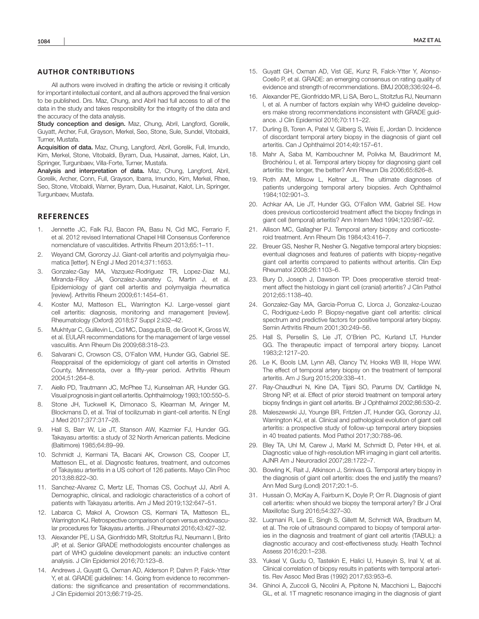## **AUTHOR CONTRIBUTIONS**

All authors were involved in drafting the article or revising it critically for important intellectual content, and all authors approved the final version to be published. Drs. Maz, Chung, and Abril had full access to all of the data in the study and takes responsibility for the integrity of the data and the accuracy of the data analysis.

Study conception and design. Maz, Chung, Abril, Langford, Gorelik, Guyatt, Archer, Full, Grayson, Merkel, Seo, Stone, Sule, Sundel, Vitobaldi, Turner, Mustafa.

Acquisition of data. Maz, Chung, Langford, Abril, Gorelik, Full, Imundo, Kim, Merkel, Stone, Vitobaldi, Byram, Dua, Husainat, James, Kalot, Lin, Springer, Turgunbaev, Villa-Forte, Turner, Mustafa.

Analysis and interpretation of data. Maz, Chung, Langford, Abril, Gorelik, Archer, Conn, Full, Grayson, Ibarra, Imundo, Kim, Merkel, Rhee, Seo, Stone, Vitobaldi, Warner, Byram, Dua, Husainat, Kalot, Lin, Springer, Turgunbaev, Mustafa.

#### **REFERENCES**

- 1. Jennette JC, Falk RJ, Bacon PA, Basu N, Cid MC, Ferrario F, et al. 2012 revised International Chapel Hill Consensus Conference nomenclature of vasculitides. Arthritis Rheum 2013;65:1–11.
- 2. Weyand CM, Goronzy JJ. Giant-cell arteritis and polymyalgia rheumatica [letter]. N Engl J Med 2014;371:1653.
- 3. Gonzalez-Gay MA, Vazquez-Rodriguez TR, Lopez-Diaz MJ, Miranda-Filloy JA, Gonzalez-Juanatey C, Martin J, et al. Epidemiology of giant cell arteritis and polymyalgia rheumatica [review]. Arthritis Rheum 2009;61:1454–61.
- 4. Koster MJ, Matteson EL, Warrington KJ. Large-vessel giant cell arteritis: diagnosis, monitoring and management [review]. Rheumatology (Oxford) 2018;57 Suppl 2:ii32–42.
- 5. Mukhtyar C, Guillevin L, Cid MC, Dasgupta B, de Groot K, Gross W, et al. EULAR recommendations for the management of large vessel vasculitis. Ann Rheum Dis 2009;68:318–23.
- 6. Salvarani C, Crowson CS, O'Fallon WM, Hunder GG, Gabriel SE. Reappraisal of the epidemiology of giant cell arteritis in Olmsted County, Minnesota, over a fifty-year period. Arthritis Rheum 2004;51:264–8.
- 7. Aiello PD, Trautmann JC, McPhee TJ, Kunselman AR, Hunder GG. Visual prognosis in giant cell arteritis. Ophthalmology 1993;100:550–5.
- 8. Stone JH, Tuckwell K, Dimonaco S, Klearman M, Aringer M, Blockmans D, et al. Trial of tocilizumab in giant-cell arteritis. N Engl J Med 2017;377:317–28.
- 9. Hall S, Barr W, Lie JT, Stanson AW, Kazmier FJ, Hunder GG. Takayasu arteritis: a study of 32 North American patients. Medicine (Baltimore) 1985;64:89–99.
- 10. Schmidt J, Kermani TA, Bacani AK, Crowson CS, Cooper LT, Matteson EL, et al. Diagnostic features, treatment, and outcomes of Takayasu arteritis in a US cohort of 126 patients. Mayo Clin Proc 2013;88:822–30.
- 11. Sanchez-Alvarez C, Mertz LE, Thomas CS, Cochuyt JJ, Abril A. Demographic, clinical, and radiologic characteristics of a cohort of patients with Takayasu arteritis. Am J Med 2019;132:647–51.
- 12. Labarca C, Makol A, Crowson CS, Kermani TA, Matteson EL, Warrington KJ. Retrospective comparison of open versus endovascular procedures for Takayasu arteritis. J Rheumatol 2016;43:427–32.
- 13. Alexander PE, Li SA, Gionfriddo MR, Stoltzfus RJ, Neumann I, Brito JP, et al. Senior GRADE methodologists encounter challenges as part of WHO guideline development panels: an inductive content analysis. J Clin Epidemiol 2016;70:123–8.
- 14. Andrews J, Guyatt G, Oxman AD, Alderson P, Dahm P, Falck-Ytter Y, et al. GRADE guidelines: 14. Going from evidence to recommendations: the significance and presentation of recommendations. J Clin Epidemiol 2013;66:719–25.
- 15. Guyatt GH, Oxman AD, Vist GE, Kunz R, Falck-Ytter Y, Alonso-Coello P, et al. GRADE: an emerging consensus on rating quality of evidence and strength of recommendations. BMJ 2008;336:924–6.
- 16. Alexander PE, Gionfriddo MR, Li SA, Bero L, Stoltzfus RJ, Neumann I, et al. A number of factors explain why WHO guideline developers make strong recommendations inconsistent with GRADE guidance. J Clin Epidemiol 2016;70:111–22.
- 17. Durling B, Toren A, Patel V, Gilberg S, Weis E, Jordan D. Incidence of discordant temporal artery biopsy in the diagnosis of giant cell arteritis. Can J Ophthalmol 2014;49:157–61.
- 18. Mahr A, Saba M, Kambouchner M, Polivka M, Baudrimont M, Brochériou I, et al. Temporal artery biopsy for diagnosing giant cell arteritis: the longer, the better? Ann Rheum Dis 2006;65:826–8.
- 19. Roth AM, Milsow L, Keltner JL. The ultimate diagnoses of patients undergoing temporal artery biopsies. Arch Ophthalmol 1984;102:901–3.
- 20. Achkar AA, Lie JT, Hunder GG, O'Fallon WM, Gabriel SE. How does previous corticosteroid treatment affect the biopsy findings in giant cell (temporal) arteritis? Ann Intern Med 1994;120:987–92.
- 21. Allison MC, Gallagher PJ. Temporal artery biopsy and corticosteroid treatment. Ann Rheum Dis 1984;43:416–7.
- 22. Breuer GS, Nesher R, Nesher G. Negative temporal artery biopsies: eventual diagnoses and features of patients with biopsy-negative giant cell arteritis compared to patients without arteritis. Clin Exp Rheumatol 2008;26:1103–6.
- 23. Bury D, Joseph J, Dawson TP. Does preoperative steroid treatment affect the histology in giant cell (cranial) arteritis? J Clin Pathol 2012;65:1138–40.
- 24. Gonzalez-Gay MA, Garcia-Porrua C, Llorca J, Gonzalez-Louzao C, Rodriguez-Ledo P. Biopsy-negative giant cell arteritis: clinical spectrum and predictive factors for positive temporal artery biopsy. Semin Arthritis Rheum 2001;30:249–56.
- 25. Hall S, Persellin S, Lie JT, O'Brien PC, Kurland LT, Hunder GG. The therapeutic impact of temporal artery biopsy. Lancet 1983;2:1217–20.
- 26. Le K, Bools LM, Lynn AB, Clancy TV, Hooks WB III, Hope WW. The effect of temporal artery biopsy on the treatment of temporal arteritis. Am J Surg 2015;209:338–41.
- 27. Ray-Chaudhuri N, Kine DA, Tijani SO, Parums DV, Cartilidge N, Strong NP, et al. Effect of prior steroid treatment on temporal artery biopsy findings in giant cell arteritis. Br J Ophthalmol 2002;86:530–2.
- 28. Maleszewski JJ, Younge BR, Fritzlen JT, Hunder GG, Goronzy JJ, Warrington KJ, et al. Clinical and pathological evolution of giant cell arteritis: a prospective study of follow-up temporal artery biopsies in 40 treated patients. Mod Pathol 2017;30:788–96.
- 29. Bley TA, Uhl M, Carew J, Markl M, Schmidt D, Peter HH, et al. Diagnostic value of high-resolution MR imaging in giant cell arteritis. AJNR Am J Neuroradiol 2007;28:1722–7.
- 30. Bowling K, Rait J, Atkinson J, Srinivas G. Temporal artery biopsy in the diagnosis of giant cell arteritis: does the end justify the means? Ann Med Surg (Lond) 2017;20:1–5.
- 31. Hussain O, McKay A, Fairburn K, Doyle P, Orr R. Diagnosis of giant cell arteritis: when should we biopsy the temporal artery? Br J Oral Maxillofac Surg 2016;54:327–30.
- 32. Luqmani R, Lee E, Singh S, Gillett M, Schmidt WA, Bradburn M, et al. The role of ultrasound compared to biopsy of temporal arteries in the diagnosis and treatment of giant cell arteritis (TABUL): a diagnostic accuracy and cost-effectiveness study. Health Technol Assess 2016;20:1–238.
- 33. Yuksel V, Guclu O, Tastekin E, Halici U, Huseyin S, Inal V, et al. Clinical correlation of biopsy results in patients with temporal arteritis. Rev Assoc Med Bras (1992) 2017;63:953–6.
- 34. Ghinoi A, Zuccoli G, Nicolini A, Pipitone N, Macchioni L, Bajocchi GL, et al. 1T magnetic resonance imaging in the diagnosis of giant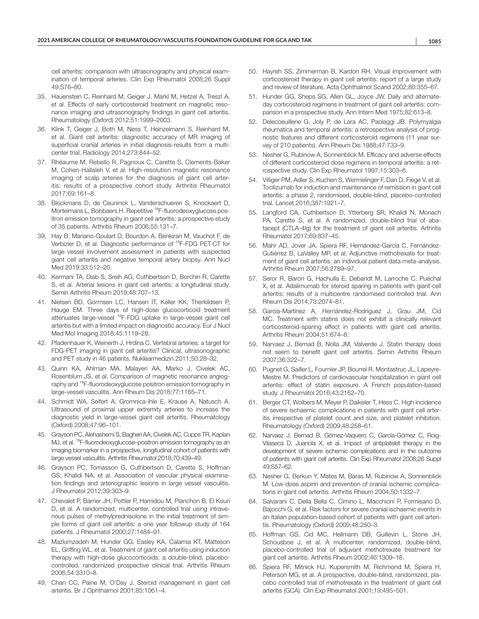cell arteritis: comparison with ultrasonography and physical examination of temporal arteries. Clin Exp Rheumatol 2008;26 Suppl 49:S76–80.

- 35. Hauenstein C, Reinhard M, Geiger J, Markl M, Hetzel A, Treszl A, et al. Effects of early corticosteroid treatment on magnetic resonance imaging and ultrasonography findings in giant cell arteritis. Rheumatology (Oxford) 2012;51:1999–2003.
- 36. Klink T, Geiger J, Both M, Ness T, Heinzelmann S, Reinhard M, et al. Giant cell arteritis: diagnostic accuracy of MR imaging of superficial cranial arteries in initial diagnosis-results from a multicenter trial. Radiology 2014;273:844–52.
- 37. Rhéaume M, Rebello R, Pagnoux C, Carette S, Clements-Baker M, Cohen-Hallaleh V, et al. High-resolution magnetic resonance imaging of scalp arteries for the diagnosis of giant cell arteritis: results of a prospective cohort study. Arthritis Rheumatol 2017;69:161–8.
- 38. Blockmans D, de Ceuninck L, Vanderschueren S, Knockaert D, Mortelmans L, Bobbaers H. Repetitive <sup>18</sup>F-fluorodeoxyglucose positron emission tomography in giant cell arteritis: a prospective study of 35 patients. Arthritis Rheum 2006;55:131–7.
- 39. Hay B, Mariano-Goulart D, Bourdon A, Benkiran M, Vauchot F, de Verbizier D, et al. Diagnostic performance of 18F-FDG PET-CT for large vessel involvement assessment in patients with suspected giant cell arteritis and negative temporal artery biopsy. Ann Nucl Med 2019;33:512–20.
- 40. Kermani TA, Diab S, Sreih AG, Cuthbertson D, Borchin R, Carette S, et al. Arterial lesions in giant cell arteritis: a longitudinal study. Semin Arthritis Rheum 2019;48:707–13.
- 41. Nielsen BD, Gormsen LC, Hansen IT, Keller KK, Therkildsen P, Hauge EM. Three days of high-dose glucocorticoid treatment attenuates large-vessel 18F-FDG uptake in large-vessel giant cell arteritis but with a limited impact on diagnostic accuracy. Eur J Nucl Med Mol Imaging 2018;45:1119–28.
- 42. Pfadenhauer K, Weinerth J, Hrdina C. Vertebral arteries: a target for FDG-PET imaging in giant cell arteritis? Clinical, ultrasonographic and PET study in 46 patients. Nuklearmedizin 2011;50:28–32.
- 43. Quinn KA, Ahlman MA, Malayeri AA, Marko J, Civelek AC, Rosenblum JS, et al. Comparison of magnetic resonance angiography and 18F-fluorodeoxyglucose positron emission tomography in large-vessel vasculitis. Ann Rheum Dis 2018;77:1165–71.
- 44. Schmidt WA, Seifert A, Gromnica-Ihle E, Krause A, Natusch A. Ultrasound of proximal upper extremity arteries to increase the diagnostic yield in large-vessel giant cell arteritis. Rheumatology (Oxford) 2008;47:96–101.
- 45. Grayson PC, Alehashemi S, Bagheri AA, Civelek AC, Cupps TR, Kaplan MJ, et al. <sup>18</sup>F-fluorodeoxyglucose-positron emission tomography as an imaging biomarker in a prospective, longitudinal cohort of patients with large vessel vasculitis. Arthritis Rheumatol 2018;70:439–49.
- 46. Grayson PC, Tomasson G, Cuthbertson D, Carette S, Hoffman GS, Khalidi NA, et al. Association of vascular physical examination findings and arteriographic lesions in large vessel vasculitis. J Rheumatol 2012;39:303–9.
- 47. Chevalet P, Barrier JH, Pottier P, Hamidou M, Planchon B, El Kouri D, et al. A randomized, multicenter, controlled trial using intravenous pulses of methylprednisolone in the initial treatment of simple forms of giant cell arteritis: a one year followup study of 164 patients. J Rheumatol 2000;27:1484–91.
- 48. Mazlumzadeh M, Hunder GG, Easley KA, Calamia KT, Matteson EL, Griffing WL, et al. Treatment of giant cell arteritis using induction therapy with high-dose glucocorticoids: a double-blind, placebocontrolled, randomized prospective clinical trial. Arthritis Rheum 2006;54:3310–8.
- 49. Chan CC, Paine M, O'Day J. Steroid management in giant cell arteritis. Br J Ophthalmol 2001;85:1061–4.
- 50. Hayreh SS, Zimmerman B, Kardon RH. Visual improvement with corticosteroid therapy in giant cell arteritis: report of a large study and review of literature. Acta Ophthalmol Scand 2002;80:355–67.
- 51. Hunder GG, Sheps SG, Allen GL, Joyce JW. Daily and alternateday corticosteroid regimens in treatment of giant cell arteritis: comparison in a prospective study. Ann Intern Med 1975;82:613–8.
- 52. Delecoeuillerie G, Joly P, de Lara AC, Paolaggi JB. Polymyalgia rheumatica and temporal arteritis: a retrospective analysis of prognostic features and different corticosteroid regimens (11 year survey of 210 patients). Ann Rheum Dis 1988;47:733–9.
- 53. Nesher G, Rubinow A, Sonnenblick M. Efficacy and adverse effects of different corticosteroid dose regimens in temporal arteritis: a retrospective study. Clin Exp Rheumatol 1997;15:303–6.
- 54. Villiger PM, Adler S, Kuchen S, Wermelinger F, Dan D, Fiege V, et al. Tocilizumab for induction and maintenance of remission in giant cell arteritis: a phase 2, randomised, double-blind, placebo-controlled trial. Lancet 2016;387:1921–7.
- 55. Langford CA, Cuthbertson D, Ytterberg SR, Khalidi N, Monach PA, Carette S, et al. A randomized, double-blind trial of abatacept (CTLA-4Ig) for the treatment of giant cell arteritis. Arthritis Rheumatol 2017;69:837–45.
- 56. Mahr AD, Jover JA, Spiera RF, Hernández-García C, Fernández-Gutiérrez B, LaValley MP, et al. Adjunctive methotrexate for treatment of giant cell arteritis: an individual patient data meta-analysis. Arthritis Rheum 2007;56:2789–97.
- 57. Seror R, Baron G, Hachulla E, Debandt M, Larroche C, Puéchal X, et al. Adalimumab for steroid sparing in patients with giant-cell arteritis: results of a multicentre randomised controlled trial. Ann Rheum Dis 2014;73:2074–81.
- 58. García-Martínez A, Hernández-Rodríguez J, Grau JM, Cid MC. Treatment with statins does not exhibit a clinically relevant corticosteroid-sparing effect in patients with giant cell arteritis. Arthritis Rheum 2004;51:674–8.
- 59. Narvaez J, Bernad B, Nolla JM, Valverde J. Statin therapy does not seem to benefit giant cell arteritis. Semin Arthritis Rheum 2007;36:322–7.
- 60. Pugnet G, Sailler L, Fournier JP, Bourrel R, Montastruc JL, Lapeyre-Mestre M. Predictors of cardiovascular hospitalization in giant cell arteritis: effect of statin exposure. A French population-based study. J Rheumatol 2016;43:2162–70.
- 61. Berger CT, Wolbers M, Meyer P, Daikeler T, Hess C. High incidence of severe ischaemic complications in patients with giant cell arteritis irrespective of platelet count and size, and platelet inhibition. Rheumatology (Oxford) 2009;48:258–61.
- 62. Narvaez J, Bernad B, Gómez-Vaquero C, García-Gómez C, Roig-Vilaseca D, Juanola X, et al. Impact of antiplatelet therapy in the development of severe ischemic complications and in the outcome of patients with giant cell arteritis. Clin Exp Rheumatol 2008;26 Suppl 49:S57–62.
- 63. Nesher G, Berkun Y, Mates M, Baras M, Rubinow A, Sonnenblick M. Low-dose aspirin and prevention of cranial ischemic complications in giant cell arteritis. Arthritis Rheum 2004;50:1332–7.
- 64. Salvarani C, Della Bella C, Cimino L, Macchioni P, Formisano D, Bajocchi G, et al. Risk factors for severe cranial ischaemic events in an Italian population-based cohort of patients with giant cell arteritis. Rheumatology (Oxford) 2009;48:250–3.
- 65. Hoffman GS, Cid MC, Hellmann DB, Guillevin L, Stone JH, Schousboe J, et al. A multicenter, randomized, double-blind, placebo-controlled trial of adjuvant methotrexate treatment for giant cell arteritis. Arthritis Rheum 2002;46:1309–18.
- 66. Spiera RF, Mitnick HJ, Kupersmith M, Richmond M, Spiera H, Peterson MG, et al. A prospective, double-blind, randomized, placebo controlled trial of methotrexate in the treatment of giant cell arteritis (GCA). Clin Exp Rheumatol 2001;19:495–501.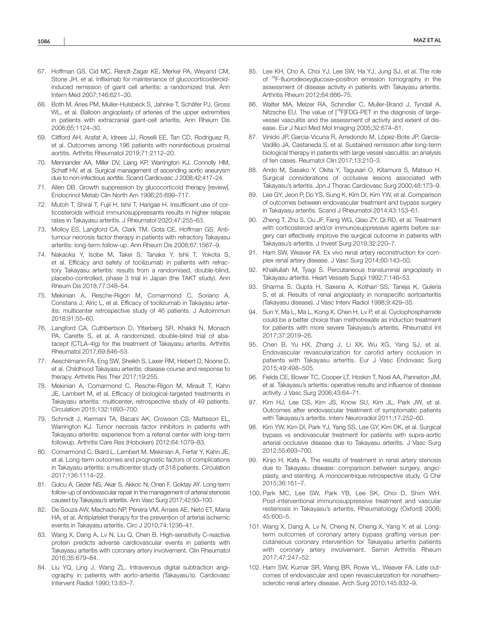- 67. Hoffman GS, Cid MC, Rendt-Zagar KE, Merkel PA, Weyand CM, Stone JH, et al. Infliximab for maintenance of glucocorticosteroidinduced remission of giant cell arteritis: a randomized trial. Ann Intern Med 2007;146:621–30.
- 68. Both M, Aries PM, Muller-Hulsbeck S, Jahnke T, Schäfer PJ, Gross WL, et al. Balloon angioplasty of arteries of the upper extremities in patients with extracranial giant-cell arteritis. Ann Rheum Dis 2006;65:1124–30.
- 69. Clifford AH, Arafat A, Idrees JJ, Roselli EE, Tan CD, Rodriguez R, et al. Outcomes among 196 patients with noninfectious proximal aortitis. Arthritis Rheumatol 2019;71:2112–20.
- 70. Mennander AA, Miller DV, Liang KP, Warrington KJ, Connolly HM, Schaff HV, et al. Surgical management of ascending aortic aneurysm due to non-infectious aortitis. Scand Cardiovasc J 2008;42:417–24.
- 71. Allen DB. Growth suppression by glucocorticoid therapy [review]. Endocrinol Metab Clin North Am 1996;25:699–717.
- 72. Mutoh T, Shirai T, Fujii H, Ishii T, Harigae H. Insufficient use of corticosteroids without immunosuppressants results in higher relapse rates in Takayasu arteritis. J Rheumatol 2020;47:255–63.
- 73. Molloy ES, Langford CA, Clark TM, Gota CE, Hoffman GS. Antitumour necrosis factor therapy in patients with refractory Takayasu arteritis: long-term follow-up. Ann Rheum Dis 2008;67:1567–9.
- 74. Nakaoka Y, Isobe M, Takei S, Tanaka Y, Ishii T, Yokota S, et al. Efficacy and safety of tocilizumab in patients with refractory Takayasu arteritis: results from a randomised, double-blind, placebo-controlled, phase 3 trial in Japan (the TAKT study). Ann Rheum Dis 2018;77:348–54.
- 75. Mekinian A, Resche-Rigon M, Comarmond C, Soriano A, Constans J, Alric L, et al. Efficacy of tocilizumab in Takayasu arteritis: multicenter retrospective study of 46 patients. J Autoimmun 2018;91:55–60.
- 76. Langford CA, Cuthbertson D, Ytterberg SR, Khalidi N, Monach PA, Carette S, et al. A randomized, double-blind trial of abatacept (CTLA-4Ig) for the treatment of Takayasu arteritis. Arthritis Rheumatol 2017;69:846–53.
- 77. Aeschlimann FA, Eng SW, Sheikh S, Laxer RM, Hebert D, Noone D, et al. Childhood Takayasu arteritis: disease course and response to therapy. Arthritis Res Ther 2017;19:255.
- 78. Mekinian A, Comarmond C, Resche-Rigon M, Mirault T, Kahn JE, Lambert M, et al. Efficacy of biological-targeted treatments in Takayasu arteritis: multicenter, retrospective study of 49 patients. Circulation 2015;132:1693–700.
- 79. Schmidt J, Kermani TA, Bacani AK, Crowson CS, Matteson EL, Warrington KJ. Tumor necrosis factor inhibitors in patients with Takayasu arteritis: experience from a referral center with long-term followup. Arthritis Care Res (Hoboken) 2012;64:1079–83.
- 80. Comarmond C, Biard L, Lambert M, Mekinian A, Ferfar Y, Kahn JE, et al. Long-term outcomes and prognostic factors of complications in Takayasu arteritis: a multicenter study of 318 patients. Circulation 2017;136:1114–22.
- 81. Gulcu A, Gezer NS, Akar S, Akkoc N, Onen F, Goktay AY. Long-term follow-up of endovascular repair in the management of arterial stenosis caused by Takayasu's arteritis. Ann Vasc Surg 2017;42:93–100.
- 82. De Souza AW, Machado NP, Pereira VM, Arraes AE, Neto ET, Maria HA, et al. Antiplatelet therapy for the prevention of arterial ischemic events in Takayasu arteritis. Circ J 2010;74:1236–41.
- 83. Wang X, Dang A, Lv N, Liu Q, Chen B. High-sensitivity C-reactive protein predicts adverse cardiovascular events in patients with Takayasu arteritis with coronary artery involvement. Clin Rheumatol 2016;35:679–84.
- 84. Liu YQ, Ling J, Wang ZL. Intravenous digital subtraction angiography in patients with aorto-arteritis (Takayasu's). Cardiovasc Intervent Radiol 1990;13:83–7.
- 85. Lee KH, Cho A, Choi YJ, Lee SW, Ha YJ, Jung SJ, et al. The role of 18F-fluorodeoxyglucose–positron emission tomography in the assessment of disease activity in patients with Takayasu arteritis. Arthritis Rheum 2012;64:866–75.
- 86. Walter MA, Melzer RA, Schindler C, Muller-Brand J, Tyndall A, Nitzsche EU. The value of [18F]FDG-PET in the diagnosis of largevessel vasculitis and the assessment of activity and extent of disease. Eur J Nucl Med Mol Imaging 2005;32:674–81.
- 87. Vinicki JP, Garcia-Vicuna R, Arredondo M, López-Bote JP, García-Vadillo JA, Castaneda S, et al. Sustained remission after long-term biological therapy in patients with large vessel vasculitis: an analysis of ten cases. Reumatol Clin 2017;13:210–3.
- 88. Ando M, Sasako Y, Okita Y, Tagusari O, Kitamura S, Matsuo H. Surgical considerations of occlusive lesions associated with Takayasu's arteritis. Jpn J Thorac Cardiovasc Surg 2000;48:173–9.
- 89. Lee GY, Jeon P, Do YS, Sung K, Kim DI, Kim YW, et al. Comparison of outcomes between endovascular treatment and bypass surgery in Takayasu arteritis. Scand J Rheumatol 2014;43:153–61.
- 90. Zheng T, Zhu S, Ou JF, Fang WG, Qiao ZY, Qi RD, et al. Treatment with corticosteroid and/or immunosuppressive agents before surgery can effectively improve the surgical outcome in patients with Takayasu's arteritis. J Invest Surg 2019;32:220–7.
- 91. Ham SW, Weaver FA. Ex vivo renal artery reconstruction for complex renal artery disease. J Vasc Surg 2014;60:143–50.
- 92. Khalilullah M, Tyagi S. Percutaneous transluminal angioplasty in Takayasu arteritis. Heart Vessels Suppl 1992;7:146–53.
- 93. Sharma S, Gupta H, Saxena A, Kothari SS, Taneja K, Guleria S, et al. Results of renal angioplasty in nonspecific aortoarteritis (Takayasu disease). J Vasc Interv Radiol 1998;9:429–35.
- 94. Sun Y, Ma L, Ma L, Kong X, Chen H, Lv P, et al. Cyclophosphamide could be a better choice than methotrexate as induction treatment for patients with more severe Takayasu's arteritis. Rheumatol Int 2017;37:2019–26.
- 95. Chen B, Yu HX, Zhang J, Li XX, Wu XG, Yang SJ, et al. Endovascular revascularization for carotid artery occlusion in patients with Takayasu arteritis. Eur J Vasc Endovasc Surg 2015;49:498–505.
- 96. Fields CE, Bower TC, Cooper LT, Hoskin T, Noel AA, Panneton JM, et al. Takayasu's arteritis: operative results and influence of disease activity. J Vasc Surg 2006;43:64–71.
- 97. Kim HJ, Lee CS, Kim JS, Know SU, Kim JL, Park JW, et al. Outcomes after endovascular treatment of symptomatic patients with Takayasu's arteritis. Interv Neuroradiol 2011;17:252–60.
- 98. Kim YW, Kim DI, Park YJ, Yang SS, Lee GY, Kim DK, et al. Surgical bypass vs endovascular treatment for patients with supra-aortic arterial occlusive disease due to Takayasu arteritis. J Vasc Surg 2012;55:693–700.
- 99. Kinjo H, Kafa A. The results of treatment in renal artery stenosis due to Takayasu disease: comparison between surgery, angioplasty, and stenting. A monocentrique retrospective study. G Chir 2015;36:161–7.
- 100. Park MC, Lee SW, Park YB, Lee SK, Choi D, Shim WH. Post-interventional immunosuppressive treatment and vascular restenosis in Takayasu's arteritis. Rheumatology (Oxford) 2006; 45:600–5.
- 101. Wang X, Dang A, Lv N, Cheng N, Cheng X, Yang Y, et al. Longterm outcomes of coronary artery bypass grafting versus percutaneous coronary intervention for Takayasu arteritis patients with coronary artery involvement. Semin Arthritis Rheum 2017;47:247–52.
- 102. Ham SW, Kumar SR, Wang BR, Rowe VL, Weaver FA. Late outcomes of endovascular and open revascularization for nonatherosclerotic renal artery disease. Arch Surg 2010;145:832–9.